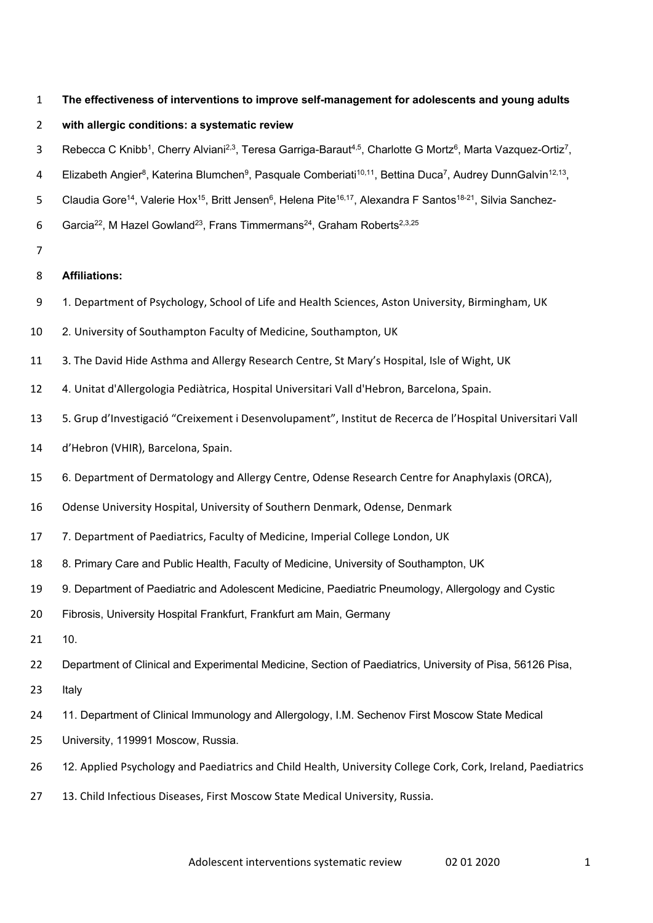**The effectiveness of interventions to improve self-management for adolescents and young adults** 

# **with allergic conditions: a systematic review**

- 3 Rebecca C Knibb<sup>1</sup>, Cherry Alviani<sup>2,3</sup>, Teresa Garriga-Baraut<sup>4,5</sup>, Charlotte G Mortz<sup>6</sup>, Marta Vazquez-Ortiz<sup>7</sup>,
- 4 Elizabeth Angier<sup>8</sup>, Katerina Blumchen<sup>9</sup>, Pasquale Comberiati<sup>10,11</sup>, Bettina Duca<sup>7</sup>, Audrey DunnGalvin<sup>12,13</sup>,
- 5 Claudia Gore<sup>14</sup>, Valerie Hox<sup>15</sup>, Britt Jensen<sup>6</sup>, Helena Pite<sup>16,17</sup>, Alexandra F Santos<sup>18-21</sup>, Silvia Sanchez-
- 6 Garcia<sup>22</sup>, M Hazel Gowland<sup>23</sup>, Frans Timmermans<sup>24</sup>, Graham Roberts<sup>2,3,25</sup>
- 

# **Affiliations:**

- 1. Department of Psychology, School of Life and Health Sciences, Aston University, Birmingham, UK
- 2. University of Southampton Faculty of Medicine, Southampton, UK
- 3. The David Hide Asthma and Allergy Research Centre, St Mary's Hospital, Isle of Wight, UK
- 4. Unitat d'Allergologia Pediàtrica, Hospital Universitari Vall d'Hebron, Barcelona, Spain.
- 5. Grup d'Investigació "Creixement i Desenvolupament", Institut de Recerca de l'Hospital Universitari Vall
- d'Hebron (VHIR), Barcelona, Spain.
- 6. Department of Dermatology and Allergy Centre, Odense Research Centre for Anaphylaxis (ORCA),
- Odense University Hospital, University of Southern Denmark, Odense, Denmark
- 7. Department of Paediatrics, Faculty of Medicine, Imperial College London, UK
- 8. Primary Care and Public Health, Faculty of Medicine, University of Southampton, UK
- 9. Department of Paediatric and Adolescent Medicine, Paediatric Pneumology, Allergology and Cystic
- Fibrosis, University Hospital Frankfurt, Frankfurt am Main, Germany
- 10.
- Department of Clinical and Experimental Medicine, Section of Paediatrics, University of Pisa, 56126 Pisa,
- Italy
- 11. Department of Clinical Immunology and Allergology, I.M. Sechenov First Moscow State Medical
- University, 119991 Moscow, Russia.
- 12. Applied Psychology and Paediatrics and Child Health, University College Cork, Cork, Ireland, Paediatrics
- 13. Child Infectious Diseases, First Moscow State Medical University, Russia.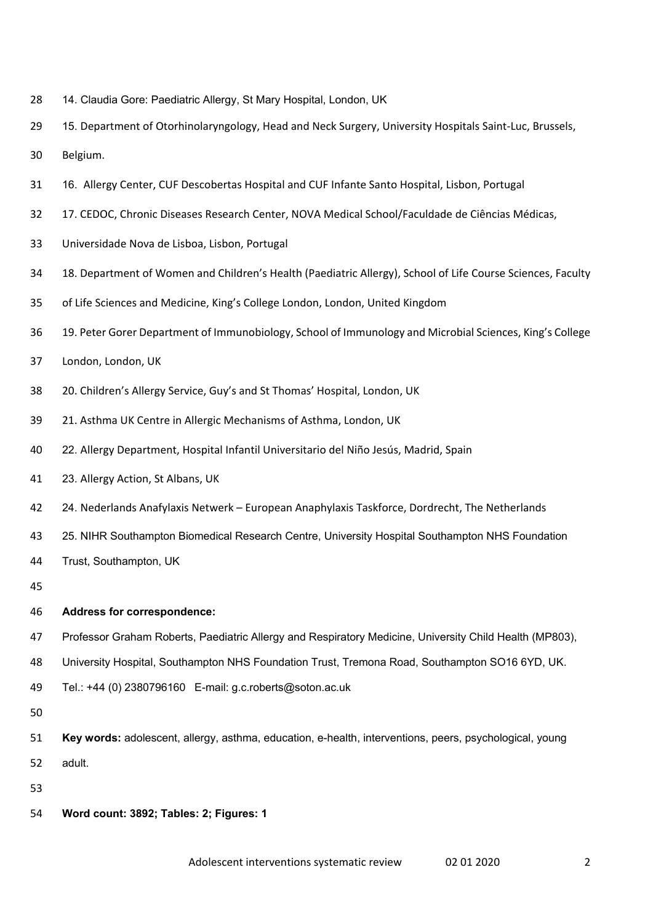- 14. Claudia Gore: Paediatric Allergy, St Mary Hospital, London, UK
- 29 15. Department of Otorhinolaryngology, Head and Neck Surgery, University Hospitals Saint-Luc, Brussels,
- Belgium.
- 16. Allergy Center, CUF Descobertas Hospital and CUF Infante Santo Hospital, Lisbon, Portugal
- 17. CEDOC, Chronic Diseases Research Center, NOVA Medical School/Faculdade de Ciências Médicas,
- Universidade Nova de Lisboa, Lisbon, Portugal
- 18. Department of Women and Children's Health (Paediatric Allergy), School of Life Course Sciences, Faculty
- of Life Sciences and Medicine, King's College London, London, United Kingdom
- 19. Peter Gorer Department of Immunobiology, School of Immunology and Microbial Sciences, King's College
- London, London, UK
- 20. Children's Allergy Service, Guy's and St Thomas' Hospital, London, UK
- 21. Asthma UK Centre in Allergic Mechanisms of Asthma, London, UK
- 22. Allergy Department, Hospital Infantil Universitario del Niño Jesús, Madrid, Spain
- 23. Allergy Action, St Albans, UK
- 24. Nederlands Anafylaxis Netwerk European Anaphylaxis Taskforce, Dordrecht, The Netherlands
- 25. NIHR Southampton Biomedical Research Centre, University Hospital Southampton NHS Foundation
- Trust, Southampton, UK
- 
- **Address for correspondence:**
- Professor Graham Roberts, Paediatric Allergy and Respiratory Medicine, University Child Health (MP803),
- University Hospital, Southampton NHS Foundation Trust, Tremona Road, Southampton SO16 6YD, UK.
- Tel.: +44 (0) 2380796160 E-mail: g.c.roberts@soton.ac.uk
- 
- **Key words:** adolescent, allergy, asthma, education, e-health, interventions, peers, psychological, young adult.
- 
- **Word count: 3892; Tables: 2; Figures: 1**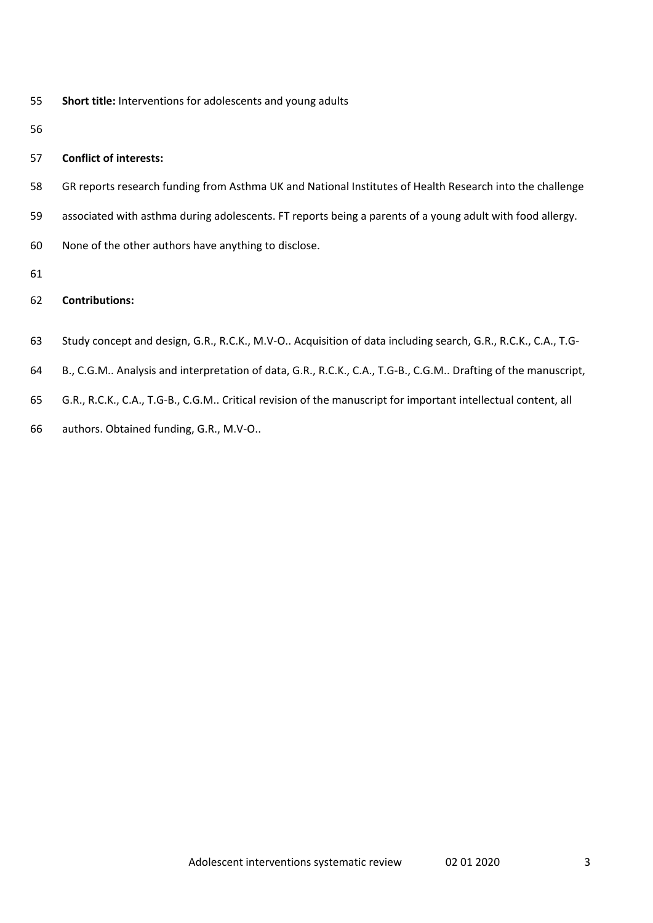**Short title:** Interventions for adolescents and young adults

# **Conflict of interests:**

- GR reports research funding from Asthma UK and National Institutes of Health Research into the challenge
- associated with asthma during adolescents. FT reports being a parents of a young adult with food allergy.
- None of the other authors have anything to disclose.
- 

# **Contributions:**

- Study concept and design, G.R., R.C.K., M.V‐O.. Acquisition of data including search, G.R., R.C.K., C.A., T.G‐
- B., C.G.M.. Analysis and interpretation of data, G.R., R.C.K., C.A., T.G‐B., C.G.M.. Drafting of the manuscript,
- G.R., R.C.K., C.A., T.G‐B., C.G.M.. Critical revision of the manuscript for important intellectual content, all
- authors. Obtained funding, G.R., M.V‐O..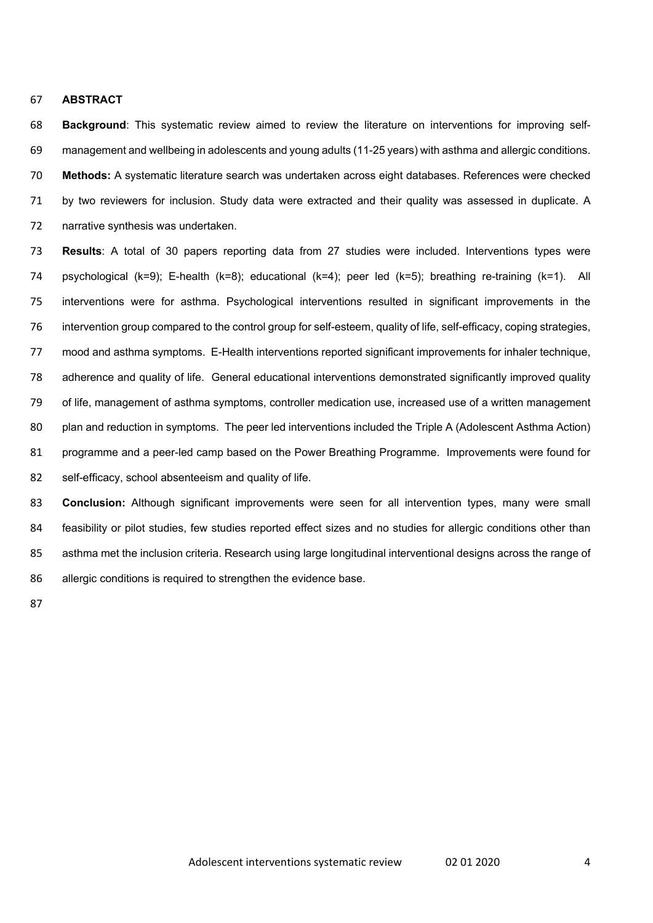#### **ABSTRACT**

 **Background**: This systematic review aimed to review the literature on interventions for improving self- management and wellbeing in adolescents and young adults (11-25 years) with asthma and allergic conditions. **Methods:** A systematic literature search was undertaken across eight databases. References were checked by two reviewers for inclusion. Study data were extracted and their quality was assessed in duplicate. A narrative synthesis was undertaken.

 **Results**: A total of 30 papers reporting data from 27 studies were included. Interventions types were psychological (k=9); E-health (k=8); educational (k=4); peer led (k=5); breathing re-training (k=1). All interventions were for asthma. Psychological interventions resulted in significant improvements in the intervention group compared to the control group for self-esteem, quality of life, self-efficacy, coping strategies, mood and asthma symptoms. E-Health interventions reported significant improvements for inhaler technique, adherence and quality of life. General educational interventions demonstrated significantly improved quality of life, management of asthma symptoms, controller medication use, increased use of a written management plan and reduction in symptoms. The peer led interventions included the Triple A (Adolescent Asthma Action) programme and a peer-led camp based on the Power Breathing Programme. Improvements were found for self-efficacy, school absenteeism and quality of life.

 **Conclusion:** Although significant improvements were seen for all intervention types, many were small 84 feasibility or pilot studies, few studies reported effect sizes and no studies for allergic conditions other than asthma met the inclusion criteria. Research using large longitudinal interventional designs across the range of allergic conditions is required to strengthen the evidence base.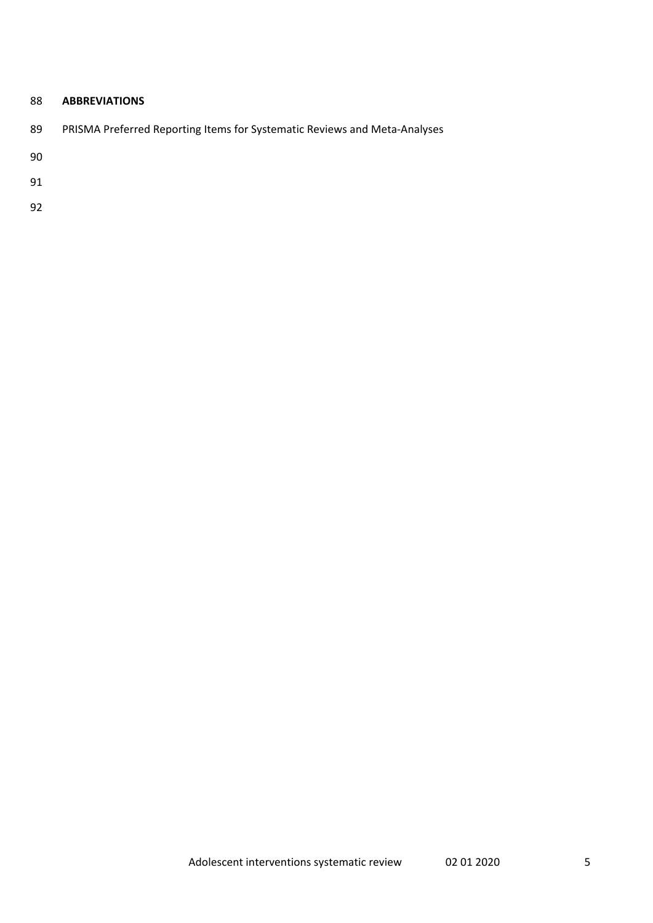# **ABBREVIATIONS**

89 PRISMA Preferred Reporting Items for Systematic Reviews and Meta-Analyses

- 
-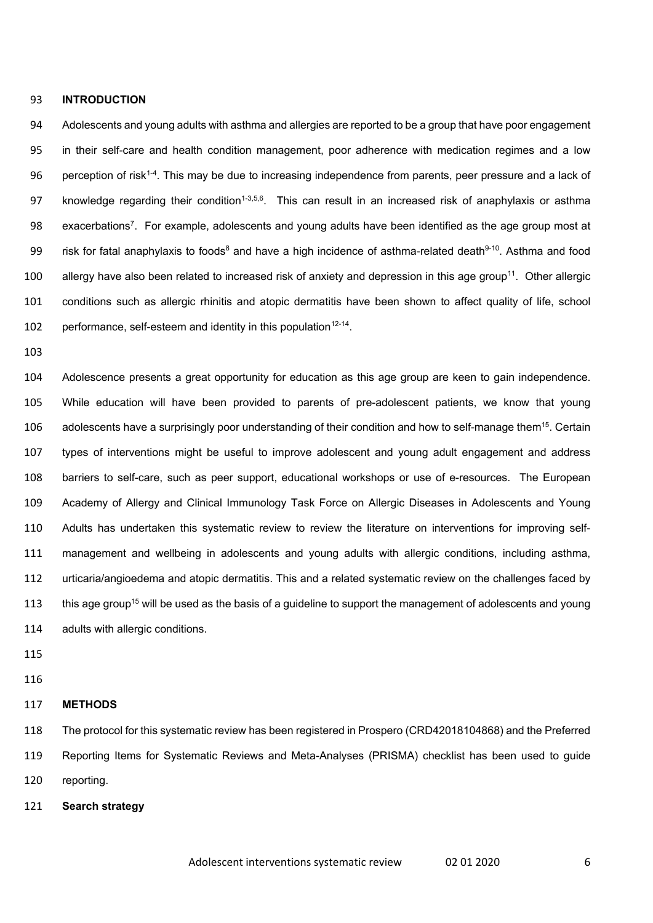#### **INTRODUCTION**

 Adolescents and young adults with asthma and allergies are reported to be a group that have poor engagement in their self-care and health condition management, poor adherence with medication regimes and a low 96 . perception of risk<sup>1-4</sup>. This may be due to increasing independence from parents, peer pressure and a lack of 97 knowledge regarding their condition<sup>1-3,5,6</sup>. This can result in an increased risk of anaphylaxis or asthma 98 exacerbations<sup>7</sup>. For example, adolescents and young adults have been identified as the age group most at 99 risk for fatal anaphylaxis to foods<sup>8</sup> and have a high incidence of asthma-related death<sup>9-10</sup>. Asthma and food 100 allergy have also been related to increased risk of anxiety and depression in this age group<sup>11</sup>. Other allergic conditions such as allergic rhinitis and atopic dermatitis have been shown to affect quality of life, school 102 performance, self-esteem and identity in this population<sup>12-14</sup>.

 Adolescence presents a great opportunity for education as this age group are keen to gain independence. While education will have been provided to parents of pre-adolescent patients, we know that young 106 adolescents have a surprisingly poor understanding of their condition and how to self-manage them<sup>15</sup>. Certain types of interventions might be useful to improve adolescent and young adult engagement and address barriers to self-care, such as peer support, educational workshops or use of e-resources. The European Academy of Allergy and Clinical Immunology Task Force on Allergic Diseases in Adolescents and Young Adults has undertaken this systematic review to review the literature on interventions for improving self- management and wellbeing in adolescents and young adults with allergic conditions, including asthma, urticaria/angioedema and atopic dermatitis. This and a related systematic review on the challenges faced by 113 this age group<sup>15</sup> will be used as the basis of a guideline to support the management of adolescents and young adults with allergic conditions.

- 
- 

#### **METHODS**

 The protocol for this systematic review has been registered in Prospero (CRD42018104868) and the Preferred Reporting Items for Systematic Reviews and Meta-Analyses (PRISMA) checklist has been used to guide reporting.

**Search strategy**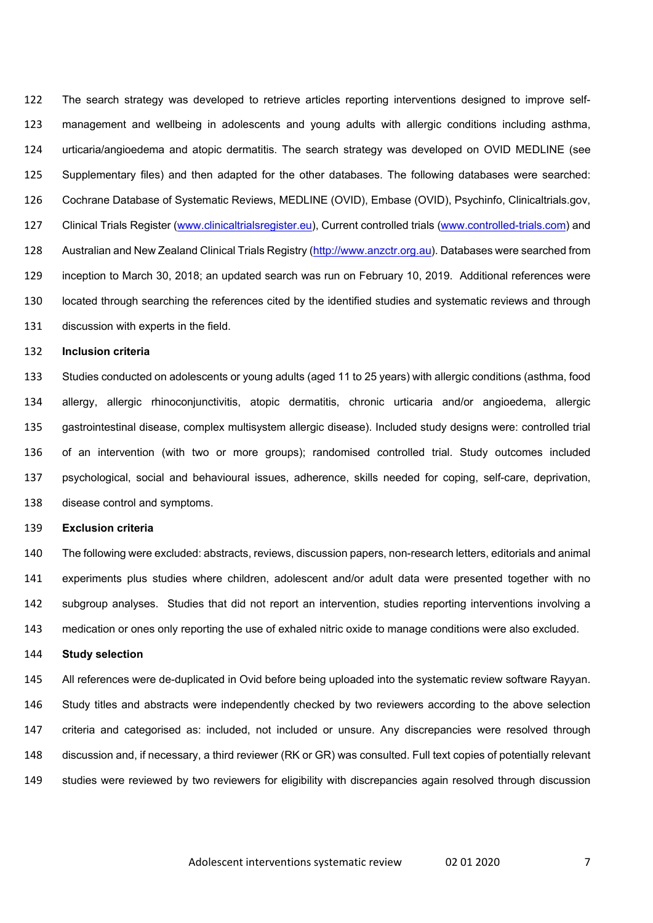The search strategy was developed to retrieve articles reporting interventions designed to improve self- management and wellbeing in adolescents and young adults with allergic conditions including asthma, urticaria/angioedema and atopic dermatitis. The search strategy was developed on OVID MEDLINE (see Supplementary files) and then adapted for the other databases. The following databases were searched: Cochrane Database of Systematic Reviews, MEDLINE (OVID), Embase (OVID), Psychinfo, Clinicaltrials.gov, Clinical Trials Register (www.clinicaltrialsregister.eu), Current controlled trials (www.controlled-trials.com) and 128 Australian and New Zealand Clinical Trials Registry (http://www.anzctr.org.au). Databases were searched from inception to March 30, 2018; an updated search was run on February 10, 2019. Additional references were located through searching the references cited by the identified studies and systematic reviews and through discussion with experts in the field.

#### **Inclusion criteria**

 Studies conducted on adolescents or young adults (aged 11 to 25 years) with allergic conditions (asthma, food allergy, allergic rhinoconjunctivitis, atopic dermatitis, chronic urticaria and/or angioedema, allergic gastrointestinal disease, complex multisystem allergic disease). Included study designs were: controlled trial of an intervention (with two or more groups); randomised controlled trial. Study outcomes included psychological, social and behavioural issues, adherence, skills needed for coping, self-care, deprivation, disease control and symptoms.

### **Exclusion criteria**

 The following were excluded: abstracts, reviews, discussion papers, non-research letters, editorials and animal experiments plus studies where children, adolescent and/or adult data were presented together with no subgroup analyses. Studies that did not report an intervention, studies reporting interventions involving a medication or ones only reporting the use of exhaled nitric oxide to manage conditions were also excluded.

#### **Study selection**

 All references were de-duplicated in Ovid before being uploaded into the systematic review software Rayyan. Study titles and abstracts were independently checked by two reviewers according to the above selection criteria and categorised as: included, not included or unsure. Any discrepancies were resolved through discussion and, if necessary, a third reviewer (RK or GR) was consulted. Full text copies of potentially relevant studies were reviewed by two reviewers for eligibility with discrepancies again resolved through discussion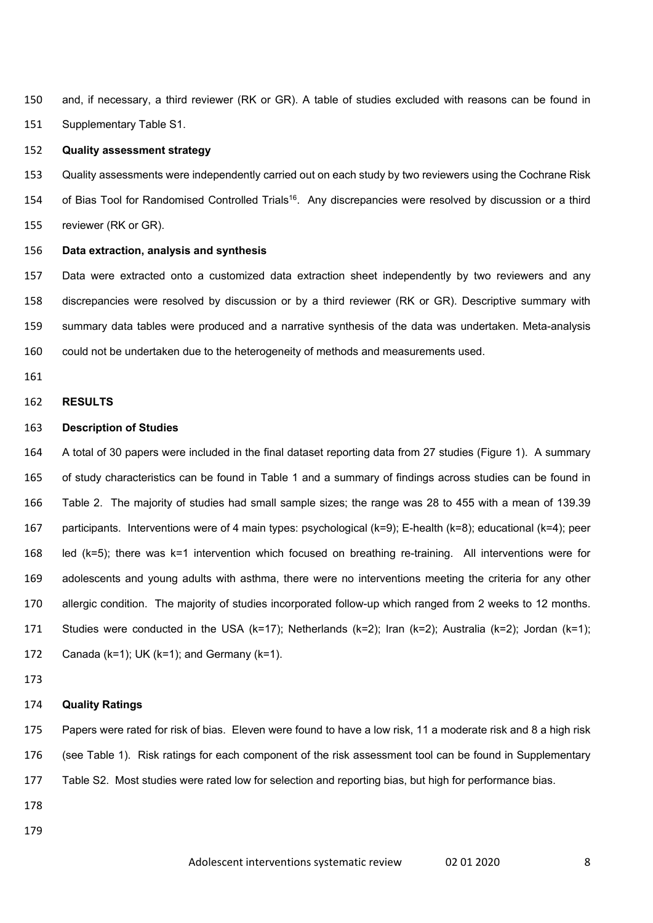and, if necessary, a third reviewer (RK or GR). A table of studies excluded with reasons can be found in Supplementary Table S1.

# **Quality assessment strategy**

 Quality assessments were independently carried out on each study by two reviewers using the Cochrane Risk 154 of Bias Tool for Randomised Controlled Trials<sup>16</sup>. Any discrepancies were resolved by discussion or a third reviewer (RK or GR).

### **Data extraction, analysis and synthesis**

 Data were extracted onto a customized data extraction sheet independently by two reviewers and any discrepancies were resolved by discussion or by a third reviewer (RK or GR). Descriptive summary with summary data tables were produced and a narrative synthesis of the data was undertaken. Meta-analysis could not be undertaken due to the heterogeneity of methods and measurements used.

# **RESULTS**

### **Description of Studies**

 A total of 30 papers were included in the final dataset reporting data from 27 studies (Figure 1). A summary of study characteristics can be found in Table 1 and a summary of findings across studies can be found in Table 2. The majority of studies had small sample sizes; the range was 28 to 455 with a mean of 139.39 participants. Interventions were of 4 main types: psychological (k=9); E-health (k=8); educational (k=4); peer led (k=5); there was k=1 intervention which focused on breathing re-training. All interventions were for adolescents and young adults with asthma, there were no interventions meeting the criteria for any other allergic condition. The majority of studies incorporated follow-up which ranged from 2 weeks to 12 months. Studies were conducted in the USA (k=17); Netherlands (k=2); Iran (k=2); Australia (k=2); Jordan (k=1); Canada (k=1); UK (k=1); and Germany (k=1).

### **Quality Ratings**

 Papers were rated for risk of bias. Eleven were found to have a low risk, 11 a moderate risk and 8 a high risk (see Table 1). Risk ratings for each component of the risk assessment tool can be found in Supplementary Table S2. Most studies were rated low for selection and reporting bias, but high for performance bias.

- 
-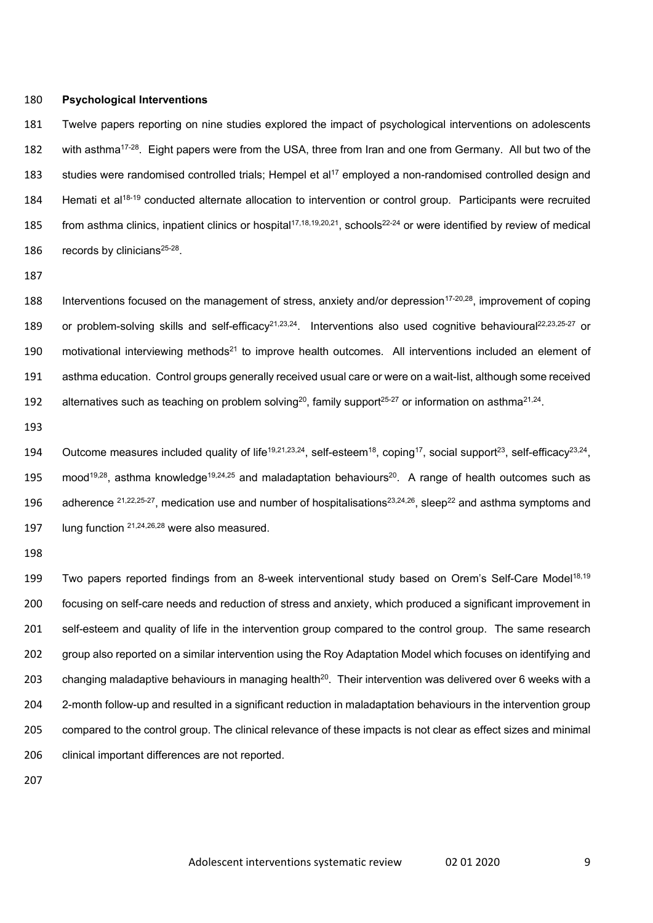#### 180 **Psychological Interventions**

181 Twelve papers reporting on nine studies explored the impact of psychological interventions on adolescents 182 with asthma<sup>17-28</sup>. Eight papers were from the USA, three from Iran and one from Germany. All but two of the 183 studies were randomised controlled trials; Hempel et al<sup>17</sup> employed a non-randomised controlled design and 184 Hemati et al<sup>18-19</sup> conducted alternate allocation to intervention or control group. Participants were recruited 185 from asthma clinics, inpatient clinics or hospital<sup>17,18,19,20,21</sup>, schools<sup>22-24</sup> or were identified by review of medical 186 records by clinicians $25-28$ .

187

188 Interventions focused on the management of stress, anxiety and/or depression<sup>17-20,28</sup>, improvement of coping 189 or problem-solving skills and self-efficacy<sup>21,23,24</sup>. Interventions also used cognitive behavioural<sup>22,23,25-27</sup> or 190 motivational interviewing methods<sup>21</sup> to improve health outcomes. All interventions included an element of 191 asthma education. Control groups generally received usual care or were on a wait-list, although some received 192 alternatives such as teaching on problem solving<sup>20</sup>, family support<sup>25-27</sup> or information on asthma<sup>21,24</sup>.

193

194 Outcome measures included quality of life<sup>19,21,23,24</sup>, self-esteem<sup>18</sup>, coping<sup>17</sup>, social support<sup>23</sup>, self-efficacy<sup>23,24</sup>, 195 mood<sup>19,28</sup>, asthma knowledge<sup>19,24,25</sup> and maladaptation behaviours<sup>20</sup>. A range of health outcomes such as 196 adherence <sup>21,22,25-27</sup>, medication use and number of hospitalisations<sup>23,24,26</sup>, sleep<sup>22</sup> and asthma symptoms and 197 Iung function  $21,24,26,28$  were also measured.

198

199 Two papers reported findings from an 8-week interventional study based on Orem's Self-Care Model<sup>18,19</sup> focusing on self-care needs and reduction of stress and anxiety, which produced a significant improvement in self-esteem and quality of life in the intervention group compared to the control group. The same research group also reported on a similar intervention using the Roy Adaptation Model which focuses on identifying and 203 changing maladaptive behaviours in managing health<sup>20</sup>. Their intervention was delivered over 6 weeks with a 2-month follow-up and resulted in a significant reduction in maladaptation behaviours in the intervention group compared to the control group. The clinical relevance of these impacts is not clear as effect sizes and minimal 206 clinical important differences are not reported.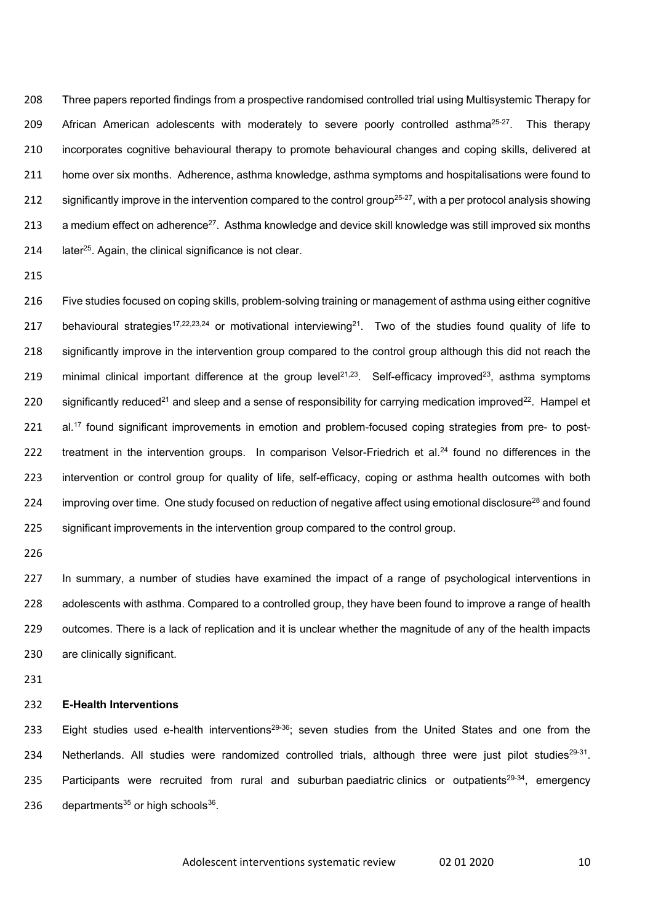208 Three papers reported findings from a prospective randomised controlled trial using Multisystemic Therapy for 209 African American adolescents with moderately to severe poorly controlled asthma<sup>25-27</sup>. This therapy 210 incorporates cognitive behavioural therapy to promote behavioural changes and coping skills, delivered at 211 home over six months. Adherence, asthma knowledge, asthma symptoms and hospitalisations were found to 212 significantly improve in the intervention compared to the control group<sup>25-27</sup>, with a per protocol analysis showing 213 a medium effect on adherence<sup>27</sup>. Asthma knowledge and device skill knowledge was still improved six months 214  $\phantom{1}$  later<sup>25</sup>. Again, the clinical significance is not clear.

215

216 Five studies focused on coping skills, problem-solving training or management of asthma using either cognitive 217 behavioural strategies<sup>17,22,23,24</sup> or motivational interviewing<sup>21</sup>. Two of the studies found quality of life to 218 significantly improve in the intervention group compared to the control group although this did not reach the 219 minimal clinical important difference at the group level<sup>21,23</sup>. Self-efficacy improved<sup>23</sup>, asthma symptoms 220 significantly reduced<sup>21</sup> and sleep and a sense of responsibility for carrying medication improved<sup>22</sup>. Hampel et 221 al.<sup>17</sup> found significant improvements in emotion and problem-focused coping strategies from pre- to post-222 treatment in the intervention groups. In comparison Velsor-Friedrich et al.<sup>24</sup> found no differences in the 223 intervention or control group for quality of life, self-efficacy, coping or asthma health outcomes with both 224 improving over time. One study focused on reduction of negative affect using emotional disclosure<sup>28</sup> and found 225 significant improvements in the intervention group compared to the control group.

226

 In summary, a number of studies have examined the impact of a range of psychological interventions in adolescents with asthma. Compared to a controlled group, they have been found to improve a range of health outcomes. There is a lack of replication and it is unclear whether the magnitude of any of the health impacts are clinically significant.

231

### 232 **E-Health Interventions**

233 Eight studies used e-health interventions<sup>29-36</sup>; seven studies from the United States and one from the 234 Netherlands. All studies were randomized controlled trials, although three were just pilot studies<sup>29-31</sup>. 235 Participants were recruited from rural and suburban paediatric clinics or outpatients<sup>29-34</sup>, emergency 236 departments<sup>35</sup> or high schools<sup>36</sup>.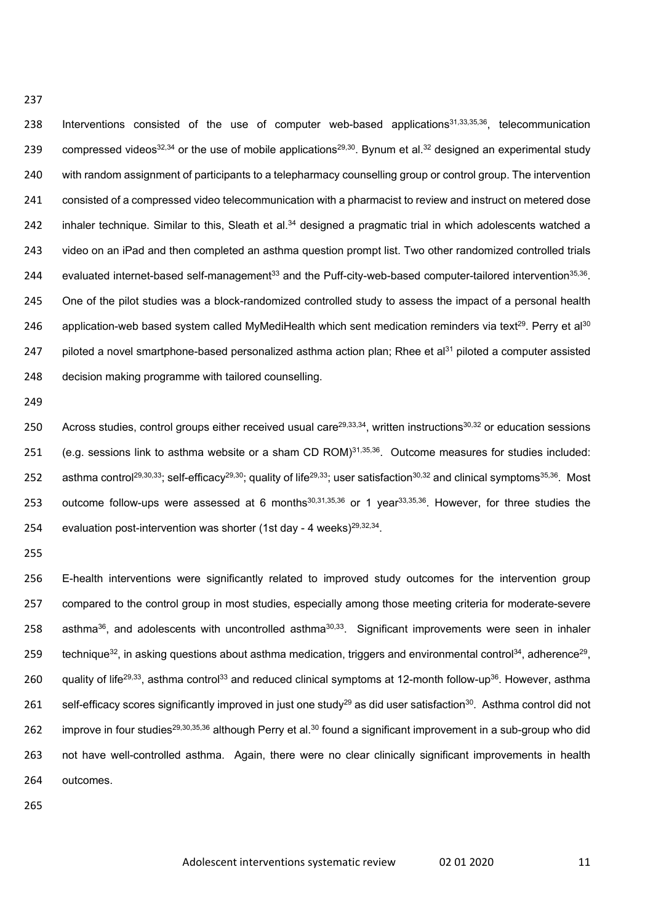238 Interventions consisted of the use of computer web-based applications<sup>31,33,35,36</sup>, telecommunication 239 compressed videos<sup>32,34</sup> or the use of mobile applications<sup>29,30</sup>. Bynum et al.<sup>32</sup> designed an experimental study 240 with random assignment of participants to a telepharmacy counselling group or control group. The intervention 241 consisted of a compressed video telecommunication with a pharmacist to review and instruct on metered dose 242 inhaler technique. Similar to this, Sleath et al. $34$  designed a pragmatic trial in which adolescents watched a 243 video on an iPad and then completed an asthma question prompt list. Two other randomized controlled trials 244 evaluated internet-based self-management<sup>33</sup> and the Puff-city-web-based computer-tailored intervention<sup>35,36</sup>. 245 One of the pilot studies was a block-randomized controlled study to assess the impact of a personal health 246 application-web based system called MyMediHealth which sent medication reminders via text<sup>29</sup>. Perry et al<sup>30</sup> 247 piloted a novel smartphone-based personalized asthma action plan; Rhee et al<sup>31</sup> piloted a computer assisted 248 decision making programme with tailored counselling.

249

237

250 Across studies, control groups either received usual care<sup>29,33,34</sup>, written instructions<sup>30,32</sup> or education sessions 251 (e.g. sessions link to asthma website or a sham CD ROM) $31,35,36$ . Outcome measures for studies included: 252 asthma control<sup>29,30,33</sup>; self-efficacy<sup>29,30</sup>; quality of life<sup>29,33</sup>; user satisfaction<sup>30,32</sup> and clinical symptoms<sup>35,36</sup>. Most 253 outcome follow-ups were assessed at 6 months $30,31,35,36$  or 1 year $33,35,36$ . However, for three studies the 254 evaluation post-intervention was shorter (1st day - 4 weeks) $29,32,34$ .

255

256 E-health interventions were significantly related to improved study outcomes for the intervention group 257 compared to the control group in most studies, especially among those meeting criteria for moderate-severe 258 asthma<sup>36</sup>, and adolescents with uncontrolled asthma<sup>30,33</sup>. Significant improvements were seen in inhaler 259 technique<sup>32</sup>, in asking questions about asthma medication, triggers and environmental control<sup>34</sup>, adherence<sup>29</sup>, 260 guality of life<sup>29,33</sup>, asthma control<sup>33</sup> and reduced clinical symptoms at 12-month follow-up<sup>36</sup>. However, asthma 261 self-efficacy scores significantly improved in just one study<sup>29</sup> as did user satisfaction<sup>30</sup>. Asthma control did not 262 improve in four studies<sup>29,30,35,36</sup> although Perry et al.<sup>30</sup> found a significant improvement in a sub-group who did 263 not have well-controlled asthma. Again, there were no clear clinically significant improvements in health 264 outcomes.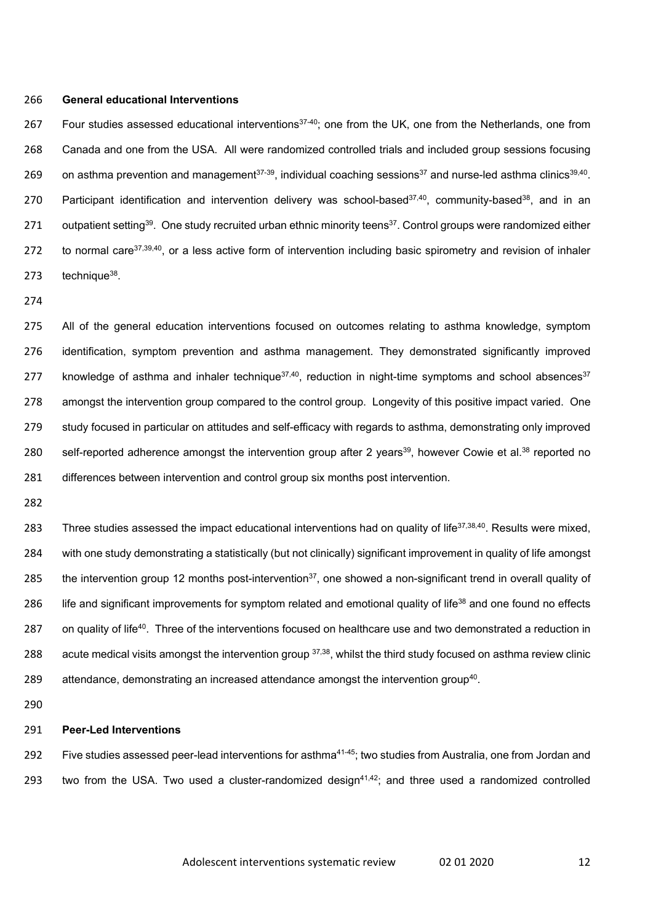#### 266 **General educational Interventions**

267 Four studies assessed educational interventions<sup>37-40</sup>; one from the UK, one from the Netherlands, one from 268 Canada and one from the USA. All were randomized controlled trials and included group sessions focusing 269 on asthma prevention and management<sup>37-39</sup>, individual coaching sessions<sup>37</sup> and nurse-led asthma clinics<sup>39,40</sup>. 270 Participant identification and intervention delivery was school-based<sup>37,40</sup>, community-based<sup>38</sup>, and in an 271 outpatient setting<sup>39</sup>. One study recruited urban ethnic minority teens<sup>37</sup>. Control groups were randomized either 272 to normal care<sup>37,39,40</sup>, or a less active form of intervention including basic spirometry and revision of inhaler  $273$  technique<sup>38</sup>.

274

 All of the general education interventions focused on outcomes relating to asthma knowledge, symptom identification, symptom prevention and asthma management. They demonstrated significantly improved 277 knowledge of asthma and inhaler technique $37,40$ , reduction in night-time symptoms and school absences $37$  amongst the intervention group compared to the control group. Longevity of this positive impact varied. One study focused in particular on attitudes and self-efficacy with regards to asthma, demonstrating only improved 280 self-reported adherence amongst the intervention group after 2 years<sup>39</sup>, however Cowie et al.<sup>38</sup> reported no differences between intervention and control group six months post intervention.

282

283 Three studies assessed the impact educational interventions had on quality of life<sup>37,38,40</sup>. Results were mixed, 284 with one study demonstrating a statistically (but not clinically) significant improvement in quality of life amongst 285 the intervention group 12 months post-intervention<sup>37</sup>, one showed a non-significant trend in overall quality of 286 life and significant improvements for symptom related and emotional quality of life<sup>38</sup> and one found no effects 287 on quality of life<sup>40</sup>. Three of the interventions focused on healthcare use and two demonstrated a reduction in 288 acute medical visits amongst the intervention group  $37,38$ , whilst the third study focused on asthma review clinic 289 attendance, demonstrating an increased attendance amongst the intervention group<sup>40</sup>.

290

#### 291 **Peer-Led Interventions**

292 Five studies assessed peer-lead interventions for asthma<sup>41-45</sup>; two studies from Australia, one from Jordan and 293 two from the USA. Two used a cluster-randomized design<sup>41,42</sup>; and three used a randomized controlled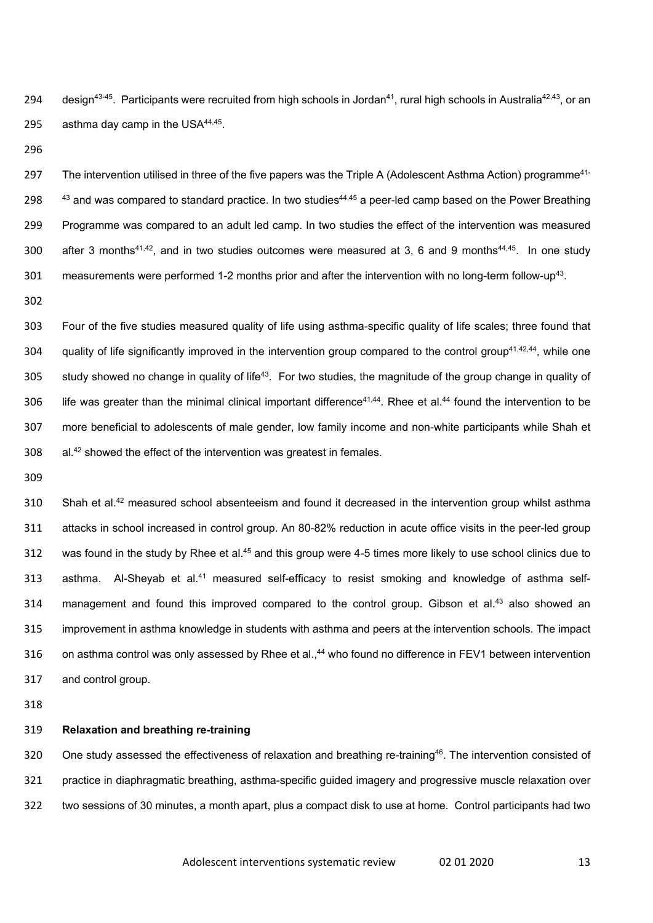294 design<sup>43-45</sup>. Participants were recruited from high schools in Jordan<sup>41</sup>, rural high schools in Australia<sup>42,43</sup>, or an 295 asthma day camp in the USA $44,45$ .

296

297 The intervention utilised in three of the five papers was the Triple A (Adolescent Asthma Action) programme<sup>41-</sup> 298  $43$  and was compared to standard practice. In two studies<sup>44,45</sup> a peer-led camp based on the Power Breathing 299 Programme was compared to an adult led camp. In two studies the effect of the intervention was measured 300 after 3 months<sup>41,42</sup>, and in two studies outcomes were measured at 3, 6 and 9 months<sup>44,45</sup>. In one study 301 measurements were performed 1-2 months prior and after the intervention with no long-term follow-up<sup>43</sup>.

302

303 Four of the five studies measured quality of life using asthma-specific quality of life scales; three found that 304 quality of life significantly improved in the intervention group compared to the control group<sup>41,42,44</sup>, while one 305 study showed no change in quality of life<sup>43</sup>. For two studies, the magnitude of the group change in quality of 306 life was greater than the minimal clinical important difference<sup>41,44</sup>. Rhee et al.<sup>44</sup> found the intervention to be 307 more beneficial to adolescents of male gender, low family income and non-white participants while Shah et  $308$  al.<sup>42</sup> showed the effect of the intervention was greatest in females.

309

310 Shah et al.<sup>42</sup> measured school absenteeism and found it decreased in the intervention group whilst asthma 311 attacks in school increased in control group. An 80-82% reduction in acute office visits in the peer-led group 312 was found in the study by Rhee et al.<sup>45</sup> and this group were 4-5 times more likely to use school clinics due to 313 asthma. Al-Sheyab et al.<sup>41</sup> measured self-efficacy to resist smoking and knowledge of asthma self-314 management and found this improved compared to the control group. Gibson et al.<sup>43</sup> also showed an 315 improvement in asthma knowledge in students with asthma and peers at the intervention schools. The impact 316 on asthma control was only assessed by Rhee et al.,<sup>44</sup> who found no difference in FEV1 between intervention 317 and control group.

318

## 319 **Relaxation and breathing re-training**

320 One study assessed the effectiveness of relaxation and breathing re-training<sup>46</sup>. The intervention consisted of 321 practice in diaphragmatic breathing, asthma-specific guided imagery and progressive muscle relaxation over 322 two sessions of 30 minutes, a month apart, plus a compact disk to use at home. Control participants had two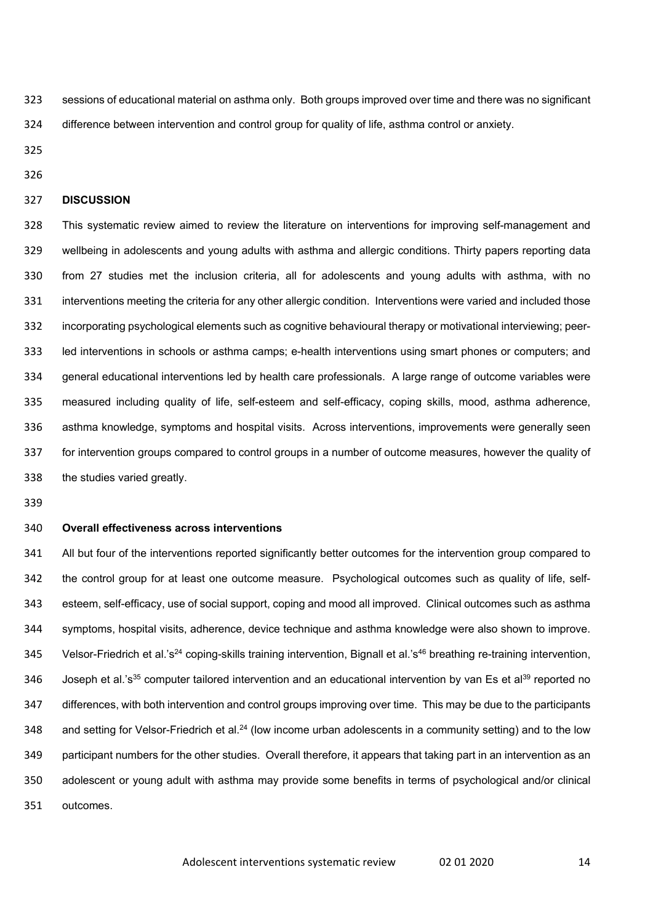sessions of educational material on asthma only. Both groups improved over time and there was no significant difference between intervention and control group for quality of life, asthma control or anxiety.

# **DISCUSSION**

 This systematic review aimed to review the literature on interventions for improving self-management and wellbeing in adolescents and young adults with asthma and allergic conditions. Thirty papers reporting data from 27 studies met the inclusion criteria, all for adolescents and young adults with asthma, with no interventions meeting the criteria for any other allergic condition. Interventions were varied and included those incorporating psychological elements such as cognitive behavioural therapy or motivational interviewing; peer- led interventions in schools or asthma camps; e-health interventions using smart phones or computers; and general educational interventions led by health care professionals. A large range of outcome variables were measured including quality of life, self-esteem and self-efficacy, coping skills, mood, asthma adherence, asthma knowledge, symptoms and hospital visits. Across interventions, improvements were generally seen for intervention groups compared to control groups in a number of outcome measures, however the quality of the studies varied greatly.

#### **Overall effectiveness across interventions**

 All but four of the interventions reported significantly better outcomes for the intervention group compared to the control group for at least one outcome measure. Psychological outcomes such as quality of life, self- esteem, self-efficacy, use of social support, coping and mood all improved. Clinical outcomes such as asthma symptoms, hospital visits, adherence, device technique and asthma knowledge were also shown to improve. 345 Velsor-Friedrich et al.'s<sup>24</sup> coping-skills training intervention, Bignall et al.'s<sup>46</sup> breathing re-training intervention, 346 Joseph et al.'s<sup>35</sup> computer tailored intervention and an educational intervention by van Es et al<sup>39</sup> reported no differences, with both intervention and control groups improving over time. This may be due to the participants 348 and setting for Velsor-Friedrich et al.<sup>24</sup> (low income urban adolescents in a community setting) and to the low participant numbers for the other studies. Overall therefore, it appears that taking part in an intervention as an adolescent or young adult with asthma may provide some benefits in terms of psychological and/or clinical outcomes.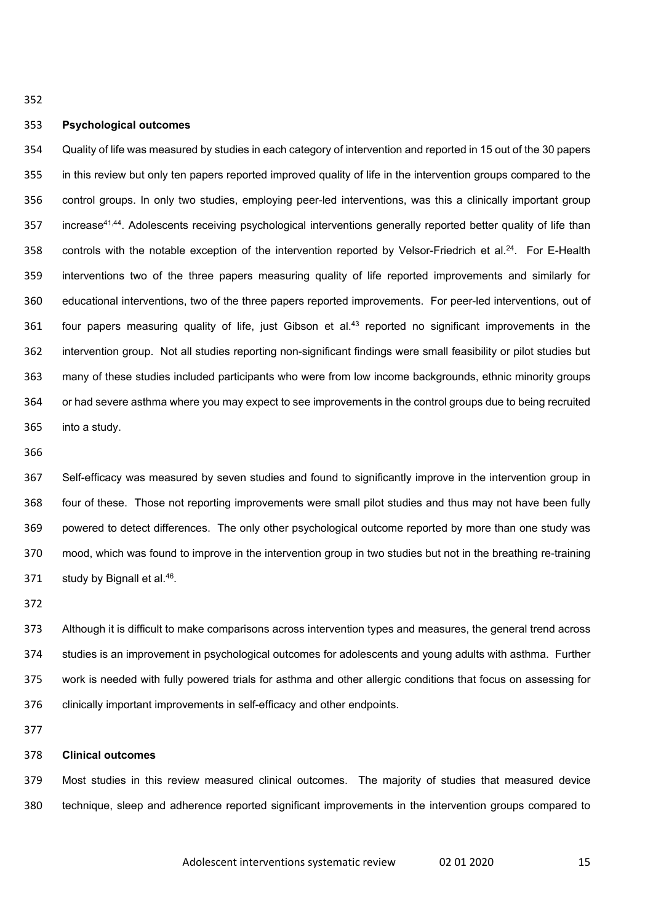#### **Psychological outcomes**

 Quality of life was measured by studies in each category of intervention and reported in 15 out of the 30 papers in this review but only ten papers reported improved quality of life in the intervention groups compared to the control groups. In only two studies, employing peer-led interventions, was this a clinically important group 357 increase<sup>41,44</sup>. Adolescents receiving psychological interventions generally reported better quality of life than 358 controls with the notable exception of the intervention reported by Velsor-Friedrich et al.<sup>24</sup>. For E-Health interventions two of the three papers measuring quality of life reported improvements and similarly for educational interventions, two of the three papers reported improvements. For peer-led interventions, out of  $f$  four papers measuring quality of life, just Gibson et al.<sup>43</sup> reported no significant improvements in the intervention group. Not all studies reporting non-significant findings were small feasibility or pilot studies but many of these studies included participants who were from low income backgrounds, ethnic minority groups or had severe asthma where you may expect to see improvements in the control groups due to being recruited into a study.

 Self-efficacy was measured by seven studies and found to significantly improve in the intervention group in four of these. Those not reporting improvements were small pilot studies and thus may not have been fully powered to detect differences. The only other psychological outcome reported by more than one study was mood, which was found to improve in the intervention group in two studies but not in the breathing re-training 371 study by Bignall et al..

 Although it is difficult to make comparisons across intervention types and measures, the general trend across studies is an improvement in psychological outcomes for adolescents and young adults with asthma. Further work is needed with fully powered trials for asthma and other allergic conditions that focus on assessing for clinically important improvements in self-efficacy and other endpoints.

# **Clinical outcomes**

 Most studies in this review measured clinical outcomes. The majority of studies that measured device technique, sleep and adherence reported significant improvements in the intervention groups compared to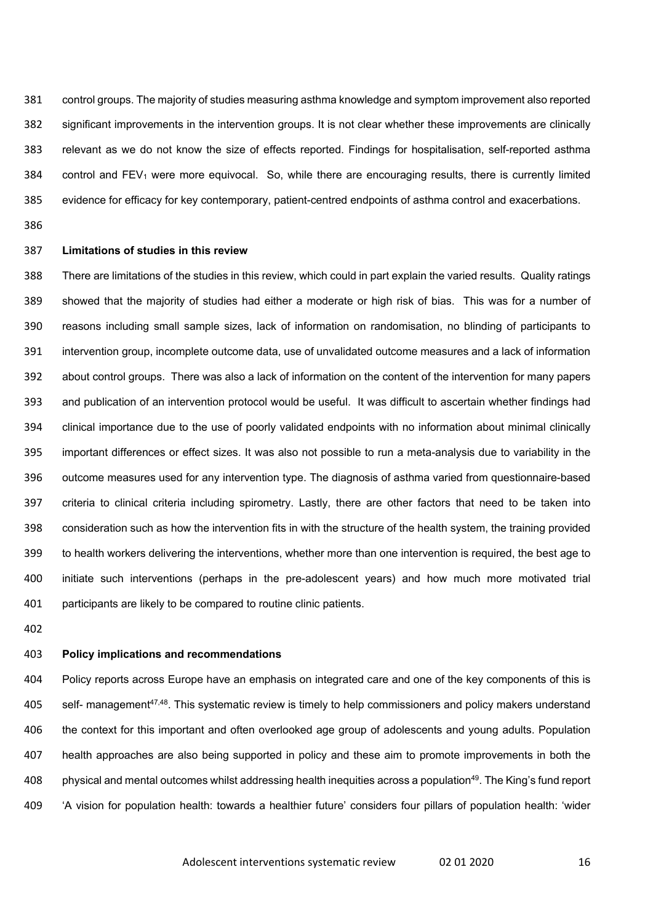control groups. The majority of studies measuring asthma knowledge and symptom improvement also reported significant improvements in the intervention groups. It is not clear whether these improvements are clinically relevant as we do not know the size of effects reported. Findings for hospitalisation, self-reported asthma 384 control and FEV<sub>1</sub> were more equivocal. So, while there are encouraging results, there is currently limited evidence for efficacy for key contemporary, patient-centred endpoints of asthma control and exacerbations.

#### **Limitations of studies in this review**

 There are limitations of the studies in this review, which could in part explain the varied results. Quality ratings showed that the majority of studies had either a moderate or high risk of bias. This was for a number of reasons including small sample sizes, lack of information on randomisation, no blinding of participants to intervention group, incomplete outcome data, use of unvalidated outcome measures and a lack of information about control groups. There was also a lack of information on the content of the intervention for many papers and publication of an intervention protocol would be useful. It was difficult to ascertain whether findings had clinical importance due to the use of poorly validated endpoints with no information about minimal clinically important differences or effect sizes. It was also not possible to run a meta-analysis due to variability in the outcome measures used for any intervention type. The diagnosis of asthma varied from questionnaire-based criteria to clinical criteria including spirometry. Lastly, there are other factors that need to be taken into consideration such as how the intervention fits in with the structure of the health system, the training provided to health workers delivering the interventions, whether more than one intervention is required, the best age to initiate such interventions (perhaps in the pre-adolescent years) and how much more motivated trial participants are likely to be compared to routine clinic patients.

## **Policy implications and recommendations**

 Policy reports across Europe have an emphasis on integrated care and one of the key components of this is 405 self- management<sup>47,48</sup>. This systematic review is timely to help commissioners and policy makers understand the context for this important and often overlooked age group of adolescents and young adults. Population health approaches are also being supported in policy and these aim to promote improvements in both the 408 physical and mental outcomes whilst addressing health inequities across a population<sup>49</sup>. The King's fund report 'A vision for population health: towards a healthier future' considers four pillars of population health: 'wider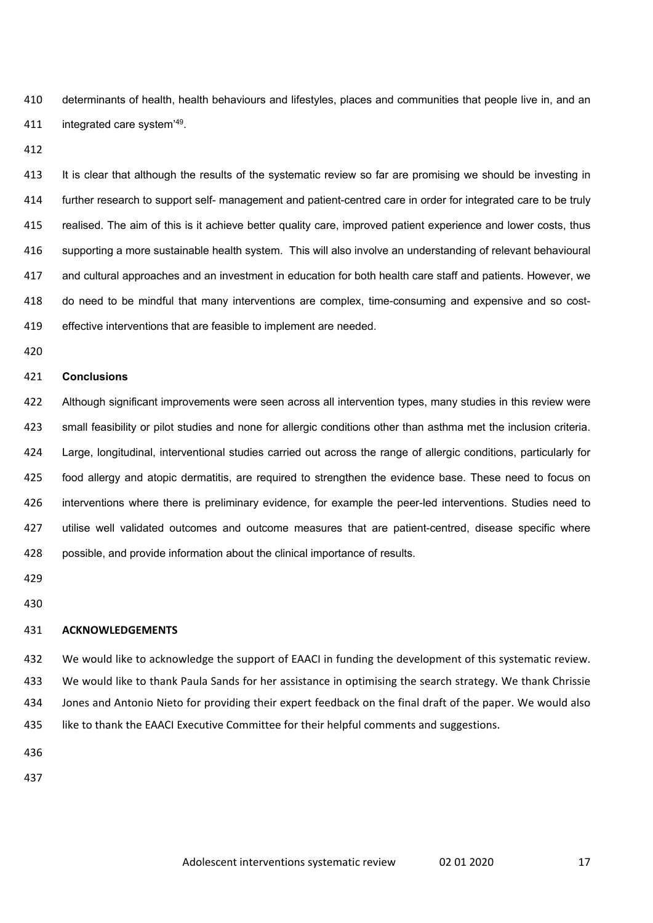determinants of health, health behaviours and lifestyles, places and communities that people live in, and an 411 integrated care system<sup>'49</sup>.

 It is clear that although the results of the systematic review so far are promising we should be investing in further research to support self- management and patient-centred care in order for integrated care to be truly realised. The aim of this is it achieve better quality care, improved patient experience and lower costs, thus supporting a more sustainable health system. This will also involve an understanding of relevant behavioural and cultural approaches and an investment in education for both health care staff and patients. However, we do need to be mindful that many interventions are complex, time-consuming and expensive and so cost-effective interventions that are feasible to implement are needed.

## **Conclusions**

 Although significant improvements were seen across all intervention types, many studies in this review were small feasibility or pilot studies and none for allergic conditions other than asthma met the inclusion criteria. Large, longitudinal, interventional studies carried out across the range of allergic conditions, particularly for food allergy and atopic dermatitis, are required to strengthen the evidence base. These need to focus on interventions where there is preliminary evidence, for example the peer-led interventions. Studies need to utilise well validated outcomes and outcome measures that are patient-centred, disease specific where possible, and provide information about the clinical importance of results.

- 
- 

# **ACKNOWLEDGEMENTS**

 We would like to acknowledge the support of EAACI in funding the development of this systematic review. We would like to thank Paula Sands for her assistance in optimising the search strategy. We thank Chrissie Jones and Antonio Nieto for providing their expert feedback on the final draft of the paper. We would also like to thank the EAACI Executive Committee for their helpful comments and suggestions.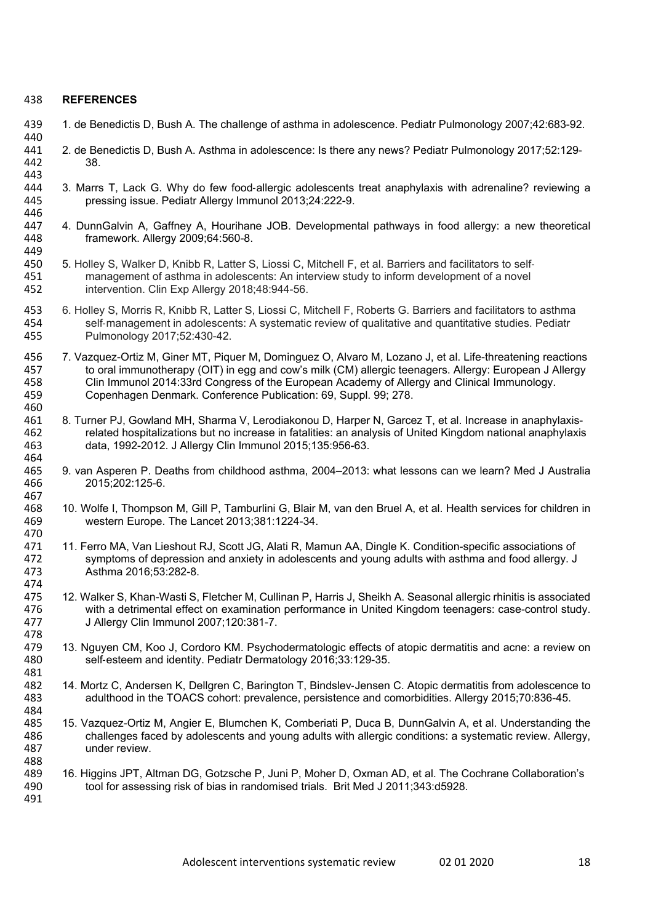# 438 **REFERENCES**

- 439 1. de Benedictis D, Bush A. The challenge of asthma in adolescence. Pediatr Pulmonology 2007;42:683-92.
- 440<br>441 441 2. de Benedictis D, Bush A. Asthma in adolescence: Is there any news? Pediatr Pulmonology 2017;52:129- 442
- 443<br>444 444 3. Marrs T, Lack G. Why do few food-allergic adolescents treat anaphylaxis with adrenaline? reviewing a<br>445 **https://www.fragelexee Pediatr Allergy Immunol 2013:24:222-9** 445 pressing issue. Pediatr Allergy Immunol 2013;24:222-9.
- 446<br>447 447 4. DunnGalvin A, Gaffney A, Hourihane JOB. Developmental pathways in food allergy: a new theoretical 448 framework. Allergy 2009:64:560-8. framework. Allergy 2009;64:560-8. 449
- 450 5. Holley S, Walker D, Knibb R, Latter S, Liossi C, Mitchell F, et al. Barriers and facilitators to self-<br>451 management of asthma in adolescents: An interview study to inform development of a novel management of asthma in adolescents: An interview study to inform development of a novel 452 intervention. Clin Exp Allergy 2018;48:944-56.
- 453 6. Holley S, Morris R, Knibb R, Latter S, Liossi C, Mitchell F, Roberts G. Barriers and facilitators to asthma 454 self-management in adolescents: A systematic review of qualitative and quantitative studies. Pediatr 455 Pulmonology 2017;52:430-42.
- 456 7. Vazquez-Ortiz M, Giner MT, Piquer M, Dominguez O, Alvaro M, Lozano J, et al. Life-threatening reactions<br>457 to oral immunotherapy (OIT) in egg and cow's milk (CM) allergic teenagers. Allergy: European J Allergy 457 to oral immunotherapy (OIT) in egg and cow's milk (CM) allergic teenagers. Allergy: European J Allergy<br>458 Clin Immunol 2014:33rd Congress of the European Academy of Allergy and Clinical Immunology. 458 Clin Immunol 2014:33rd Congress of the European Academy of Allergy and Clinical Immunology. 459 Copenhagen Denmark. Conference Publication: 69, Suppl. 99; 278.
- 460<br>461 461 8. Turner PJ, Gowland MH, Sharma V, Lerodiakonou D, Harper N, Garcez T, et al. Increase in anaphylaxis-<br>462 related hospitalizations but no increase in fatalities: an analysis of United Kingdom national anaphylaxis 462 related hospitalizations but no increase in fatalities: an analysis of United Kingdom national anaphylaxis<br>463 data. 1992-2012. J Allergy Clin Immunol 2015:135:956-63. 463 data, 1992-2012. J Allergy Clin Immunol 2015;135:956-63.
- 465 9. van Asperen P. Deaths from childhood asthma, 2004–2013: what lessons can we learn? Med J Australia<br>466 2015:202:125-6. 2015;202:125-6.
- 467<br>468 468 10. Wolfe I, Thompson M, Gill P, Tamburlini G, Blair M, van den Bruel A, et al. Health services for children in western Europe. The Lancet 2013;381:1224-34.
- 470<br>471 471 11. Ferro MA, Van Lieshout RJ, Scott JG, Alati R, Mamun AA, Dingle K. Condition-specific associations of 472 symptoms of depression and anxiety in adolescents and young adults with asthma and food allergy. J 472 symptoms of depression and anxiety in adolescents and young adults with asthma and food allergy. J Asthma 2016;53:282-8.
- 474<br>475 475 12. Walker S, Khan-Wasti S, Fletcher M, Cullinan P, Harris J, Sheikh A. Seasonal allergic rhinitis is associated<br>476 with a detrimental effect on examination performance in United Kingdom teenagers: case-control study. 476 with a detrimental effect on examination performance in United Kingdom teenagers: case-control study.<br>477 J Allergy Clin Immunol 2007:120:381-7. 477 J Allergy Clin Immunol 2007;120:381-7.
- 478<br>479 479 13. Nguyen CM, Koo J, Cordoro KM. Psychodermatologic effects of atopic dermatitis and acne: a review on 480 self-esteem and identity. Pediatr Dermatology 2016;33:129-35. 481
- 482 14. Mortz C, Andersen K, Dellgren C, Barington T, Bindslev-Jensen C. Atopic dermatitis from adolescence to 483 adulthood in the TOACS cohort: prevalence, persistence and comorbidities. Allergy 2015;70:836-45.
- 484<br>485 485 15. Vazquez-Ortiz M, Angier E, Blumchen K, Comberiati P, Duca B, DunnGalvin A, et al. Understanding the 486 challenges faced by adolescents and young adults with allergic conditions: a systematic review. Allergy, 486 challenges faced by adolescents and young adults with allergic conditions: a systematic review. Allergy, 487 under review.
- 488<br>489 489 16. Higgins JPT, Altman DG, Gotzsche P, Juni P, Moher D, Oxman AD, et al. The Cochrane Collaboration's 490 tool for assessing risk of bias in randomised trials. Brit Med J 2011:343:d5928. tool for assessing risk of bias in randomised trials. Brit Med J 2011:343:d5928. 491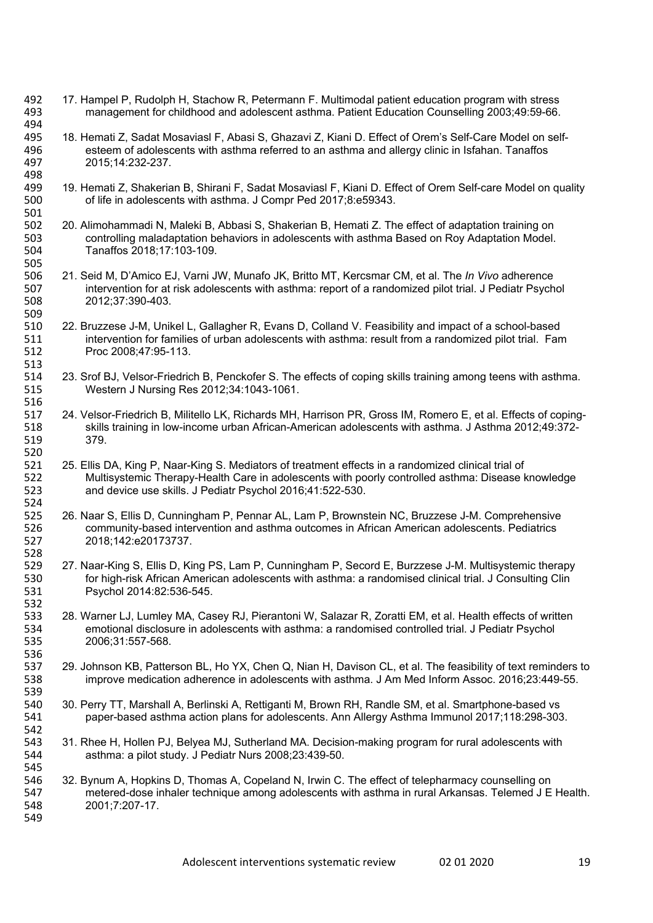- 492 17. Hampel P, Rudolph H, Stachow R, Petermann F. Multimodal patient education program with stress management for childhood and adolescent asthma. Patient Education Counselling 2003;49:59-66.
- 494<br>495 495 18. Hemati Z, Sadat Mosaviasl F, Abasi S, Ghazavi Z, Kiani D. Effect of Orem's Self-Care Model on self-<br>496 steem of adolescents with asthma referred to an asthma and allergy clinic in Isfahan. Tanaffos 496 esteem of adolescents with asthma referred to an asthma and allergy clinic in Isfahan. Tanaffos 497 2015;14:232-237.
- 498<br>499 499 19. Hemati Z, Shakerian B, Shirani F, Sadat Mosaviasl F, Kiani D. Effect of Orem Self-care Model on quality<br>500 of life in adolescents with asthma. J Compr Ped 2017:8:e59343. 500 of life in adolescents with asthma. J Compr Ped 2017;8:e59343.
- 501<br>502 502 20. Alimohammadi N, Maleki B, Abbasi S, Shakerian B, Hemati Z. The effect of adaptation training on 503 controlling maladaptation behaviors in adolescents with asthma Based on Rov Adaptation Model. 503 controlling maladaptation behaviors in adolescents with asthma Based on Roy Adaptation Model. 504 Tanaffos 2018;17:103-109. 505
- 506 21. Seid M, D'Amico EJ, Varni JW, Munafo JK, Britto MT, Kercsmar CM, et al. The *In Vivo* adherence intervention for at risk adolescents with asthma: report of a randomized pilot trial. J Pediatr Psychol 508 2012;37:390-403.
- 509<br>510 510 22. Bruzzese J-M, Unikel L, Gallagher R, Evans D, Colland V. Feasibility and impact of a school-based<br>511 intervention for families of urban adolescents with asthma: result from a randomized pilot trial. Fan intervention for families of urban adolescents with asthma: result from a randomized pilot trial. Fam 512 Proc 2008;47:95-113.
- 513<br>514 23. Srof BJ, Velsor-Friedrich B, Penckofer S. The effects of coping skills training among teens with asthma. 515 Western J Nursing Res 2012;34:1043-1061.

516

- 517 24. Velsor-Friedrich B, Militello LK, Richards MH, Harrison PR, Gross IM, Romero E, et al. Effects of coping-518 skills training in low-income urban African-American adolescents with asthma. J Asthma 2012;49:372- 519 379.
- 520<br>521 521 25. Ellis DA, King P, Naar-King S. Mediators of treatment effects in a randomized clinical trial of 522 Multisystemic Therapy-Health Care in adolescents with poorly controlled asthma: Disease k 522 Multisystemic Therapy-Health Care in adolescents with poorly controlled asthma: Disease knowledge<br>523 and device use skills. J Pediatr Psychol 2016:41:522-530. and device use skills. J Pediatr Psychol 2016;41:522-530.
- 524<br>525 525 26. Naar S, Ellis D, Cunningham P, Pennar AL, Lam P, Brownstein NC, Bruzzese J-M. Comprehensive<br>526 community-based intervention and asthma outcomes in African American adolescents. Pediatrics 526 community-based intervention and asthma outcomes in African American adolescents. Pediatrics 527 2018;142:e20173737.
- 528<br>529 529 27. Naar-King S, Ellis D, King PS, Lam P, Cunningham P, Secord E, Burzzese J-M. Multisystemic therapy 530 for high-risk African American adolescents with asthma: a randomised clinical trial. J Consulting Clin 531 Psychol 2014:82:536-545.
- 532<br>533 533 28. Warner LJ, Lumley MA, Casey RJ, Pierantoni W, Salazar R, Zoratti EM, et al. Health effects of written<br>534 emotional disclosure in adolescents with asthma: a randomised controlled trial. J Pediatr Psvchol 534 emotional disclosure in adolescents with asthma: a randomised controlled trial. J Pediatr Psychol 535 2006;31:557-568.
- 537 29. Johnson KB, Patterson BL, Ho YX, Chen Q, Nian H, Davison CL, et al. The feasibility of text reminders to 538 improve medication adherence in adolescents with asthma. J Am Med Inform Assoc. 2016;23:449-55.
- 539<br>540 540 30. Perry TT, Marshall A, Berlinski A, Rettiganti M, Brown RH, Randle SM, et al. Smartphone-based vs<br>541 paper-based asthma action plans for adolescents. Ann Allergy Asthma Immunol 2017:118:298-303 541 paper-based asthma action plans for adolescents. Ann Allergy Asthma Immunol 2017;118:298-303.
- 542<br>543 543 31. Rhee H, Hollen PJ, Belyea MJ, Sutherland MA. Decision-making program for rural adolescents with 544 asthma: a pilot study. J Pediatr Nurs 2008:23:439-50. 544 asthma: a pilot study. J Pediatr Nurs 2008;23:439-50.
- 545<br>546 546 32. Bynum A, Hopkins D, Thomas A, Copeland N, Irwin C. The effect of telepharmacy counselling on<br>547 metered-dose inhaler technique among adolescents with asthma in rural Arkansas. Telemed J E metered-dose inhaler technique among adolescents with asthma in rural Arkansas. Telemed J E Health. 548 2001;7:207-17. 549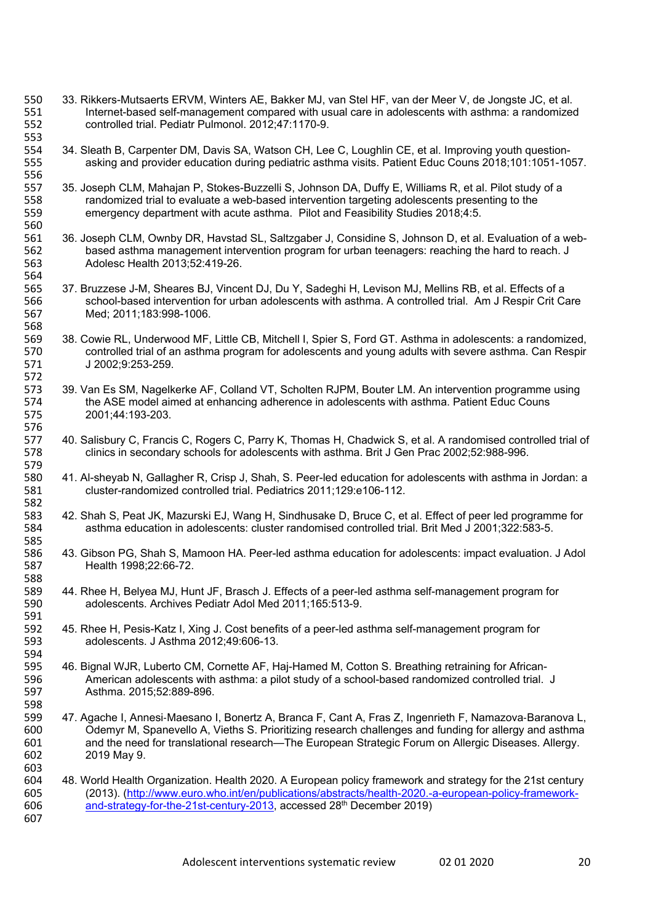- 550 33. Rikkers-Mutsaerts ERVM, Winters AE, Bakker MJ, van Stel HF, van der Meer V, de Jongste JC, et al.<br>551 Internet-based self-management compared with usual care in adolescents with asthma: a randomize 551 Internet-based self-management compared with usual care in adolescents with asthma: a randomized 552 controlled trial. Pediatr Pulmonol. 2012;47:1170-9.
- 553<br>554 554 34. Sleath B, Carpenter DM, Davis SA, Watson CH, Lee C, Loughlin CE, et al. Improving youth question-<br>555 asking and provider education during pediatric asthma visits. Patient Educ Couns 2018:101:1051-10 asking and provider education during pediatric asthma visits. Patient Educ Couns 2018;101:1051-1057.
- 556<br>557 557 35. Joseph CLM, Mahajan P, Stokes-Buzzelli S, Johnson DA, Duffy E, Williams R, et al. Pilot study of a<br>558 randomized trial to evaluate a web-based intervention targeting adolescents presenting to the 558 randomized trial to evaluate a web-based intervention targeting adolescents presenting to the<br>559 emergency department with acute asthma. Pilot and Feasibility Studies 2018:4:5. 559 emergency department with acute asthma. Pilot and Feasibility Studies 2018;4:5.
- 560<br>561 561 36. Joseph CLM, Ownby DR, Havstad SL, Saltzgaber J, Considine S, Johnson D, et al. Evaluation of a web-<br>562 based asthma management intervention program for urban teenagers: reaching the hard to reach. J 562 based asthma management intervention program for urban teenagers: reaching the hard to reach. J<br>563 Adolesc Health 2013:52:419-26. 563 Adolesc Health 2013;52:419-26.
- 564<br>565 565 37. Bruzzese J-M, Sheares BJ, Vincent DJ, Du Y, Sadeghi H, Levison MJ, Mellins RB, et al. Effects of a<br>566 school-based intervention for urban adolescents with asthma. A controlled trial. Am J Respir Crit Ca school-based intervention for urban adolescents with asthma. A controlled trial. Am J Respir Crit Care 567 Med; 2011;183:998-1006.
- 568<br>569 569 38. Cowie RL, Underwood MF, Little CB, Mitchell I, Spier S, Ford GT. Asthma in adolescents: a randomized, 570 controlled trial of an asthma program for adolescents and young adults with severe asthma. Can Respir<br>571 J 2002;9:253-259. J 2002;9:253-259.
- 572 573 39. Van Es SM, Nagelkerke AF, Colland VT, Scholten RJPM, Bouter LM. An intervention programme using<br>574 the ASE model aimed at enhancing adherence in adolescents with asthma. Patient Educ Couns 574 the ASE model aimed at enhancing adherence in adolescents with asthma. Patient Educ Couns<br>575 2001:44:193-203. 575 2001;44:193-203.
- 576<br>577 577 40. Salisbury C, Francis C, Rogers C, Parry K, Thomas H, Chadwick S, et al. A randomised controlled trial of<br>578 clinics in secondary schools for adolescents with asthma. Brit J Gen Prac 2002:52:988-996. 578 clinics in secondary schools for adolescents with asthma. Brit J Gen Prac 2002;52:988-996.
- 579<br>580 580 41. Al-sheyab N, Gallagher R, Crisp J, Shah, S. Peer-led education for adolescents with asthma in Jordan: a<br>581 cluster-randomized controlled trial. Pediatrics 2011:129:e106-112. 581 cluster-randomized controlled trial. Pediatrics 2011;129:e106-112.
- 582 583 42. Shah S, Peat JK, Mazurski EJ, Wang H, Sindhusake D, Bruce C, et al. Effect of peer led programme for 584 sathma education in adolescents: cluster randomised controlled trial. Brit Med J 2001;322:583-5. asthma education in adolescents: cluster randomised controlled trial. Brit Med J 2001;322:583-5.
- 585<br>586 586 43. Gibson PG, Shah S, Mamoon HA. Peer-led asthma education for adolescents: impact evaluation. J Adol<br>587 Health 1998:22:66-72. Health 1998;22:66-72.
- 588 589 44. Rhee H, Belyea MJ, Hunt JF, Brasch J. Effects of a peer-led asthma self-management program for 590<br>590 adolescents. Archives Pediatr Adol Med 2011:165:513-9. adolescents. Archives Pediatr Adol Med 2011;165:513-9.
- 591<br>592 592 45. Rhee H, Pesis-Katz I, Xing J. Cost benefits of a peer-led asthma self-management program for<br>593 adolescents. J Asthma 2012:49:606-13. 593 adolescents. J Asthma 2012;49:606-13.
- 594<br>595 595 46. Bignal WJR, Luberto CM, Cornette AF, Haj-Hamed M, Cotton S. Breathing retraining for African-<br>596 American adolescents with asthma: a pilot study of a school-based randomized controlled trial. American adolescents with asthma: a pilot study of a school-based randomized controlled trial. J 597 Asthma. 2015;52:889-896. 598
- 599 47. Agache I, Annesi-Maesano I, Bonertz A, Branca F, Cant A, Fras Z, Ingenrieth F, Namazova-Baranova L, 600 Odemyr M, Spanevello A, Vieths S. Prioritizing research challenges and funding for allergy and asthma and the need for translational research—The European Strategic Forum on Allergic Diseases. Allergy. 602 2019 May 9.
- 603<br>604 604 48. World Health Organization. Health 2020. A European policy framework and strategy for the 21st century 605 (2013). (http://www.euro.who.int/en/publications/abstracts/health-2020.-a-european-policy-framework-<br>606 and-strategy-for-the-21st-century-2013. accessed 28<sup>th</sup> December 2019) and-strategy-for-the-21st-century-2013, accessed  $28<sup>th</sup>$  December 2019) 607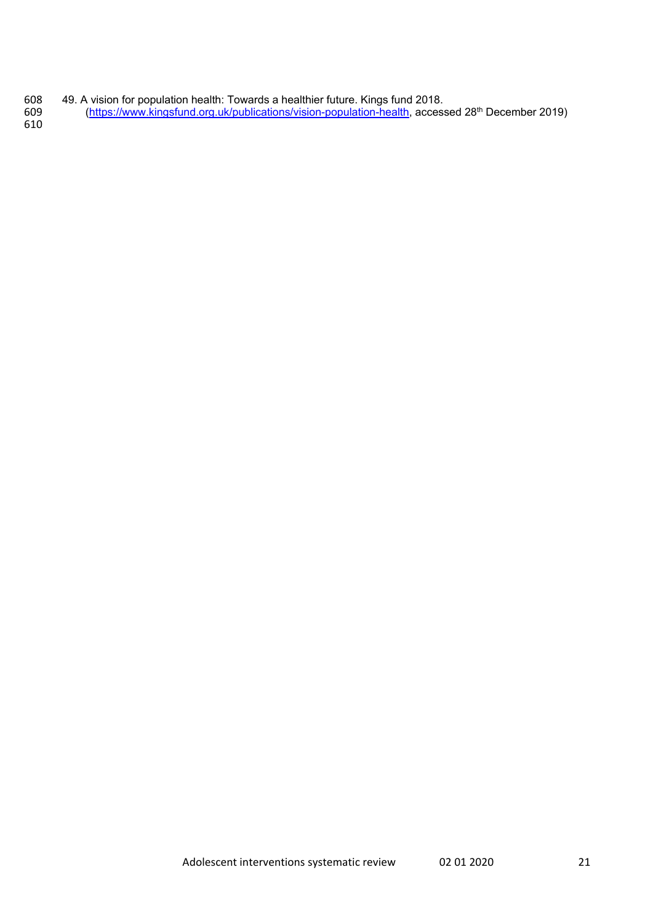- 49. A vision for population health: Towards a healthier future. Kings fund 2018.
- 609 (https://www.kingsfund.org.uk/publications/vision-population-health, accessed 28<sup>th</sup> December 2019)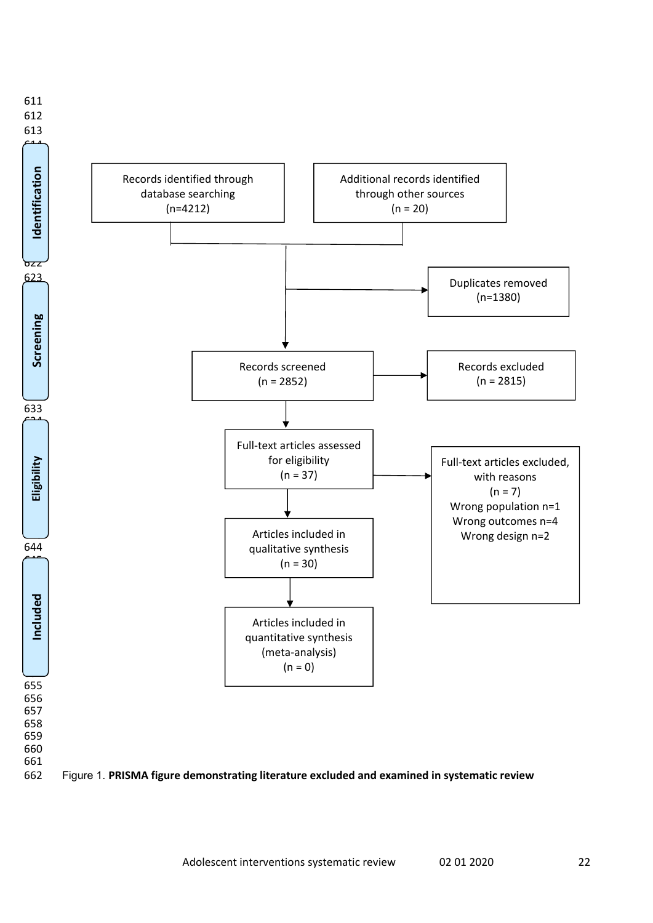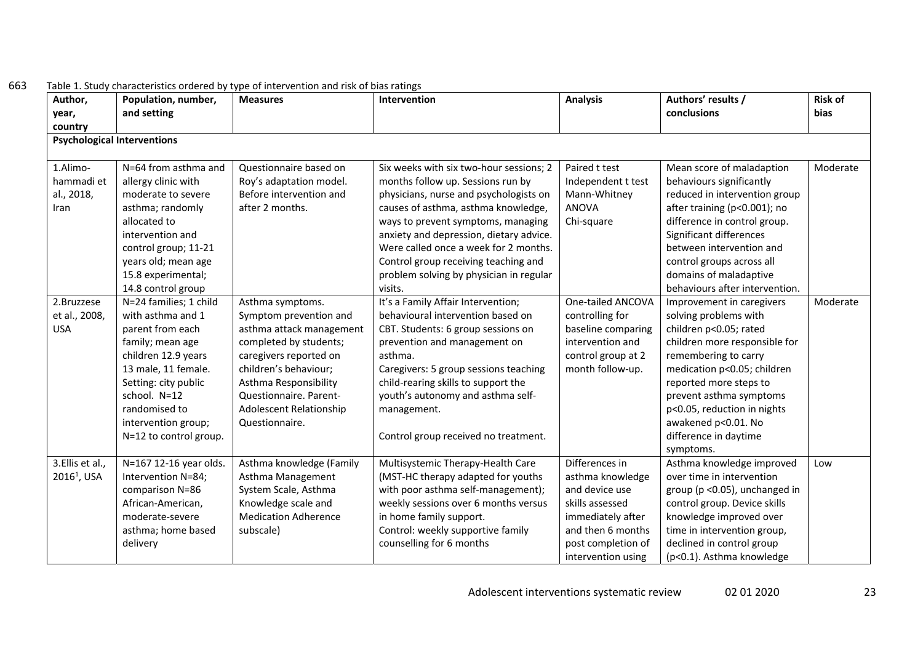| Author,<br>year,        | Population, number,<br>and setting | <b>Measures</b>             | Intervention                            | <b>Analysis</b>    | Authors' results /<br>conclusions | <b>Risk of</b><br><b>bias</b> |
|-------------------------|------------------------------------|-----------------------------|-----------------------------------------|--------------------|-----------------------------------|-------------------------------|
| country                 |                                    |                             |                                         |                    |                                   |                               |
|                         | <b>Psychological Interventions</b> |                             |                                         |                    |                                   |                               |
| 1.Alimo-                | N=64 from asthma and               | Questionnaire based on      | Six weeks with six two-hour sessions; 2 | Paired t test      | Mean score of maladaption         | Moderate                      |
| hammadi et              | allergy clinic with                | Roy's adaptation model.     | months follow up. Sessions run by       | Independent t test | behaviours significantly          |                               |
| al., 2018,              | moderate to severe                 | Before intervention and     | physicians, nurse and psychologists on  | Mann-Whitney       | reduced in intervention group     |                               |
| Iran                    | asthma; randomly                   | after 2 months.             | causes of asthma, asthma knowledge,     | <b>ANOVA</b>       | after training (p<0.001); no      |                               |
|                         | allocated to                       |                             | ways to prevent symptoms, managing      | Chi-square         | difference in control group.      |                               |
|                         | intervention and                   |                             | anxiety and depression, dietary advice. |                    | Significant differences           |                               |
|                         | control group; 11-21               |                             | Were called once a week for 2 months.   |                    | between intervention and          |                               |
|                         | years old; mean age                |                             | Control group receiving teaching and    |                    | control groups across all         |                               |
|                         | 15.8 experimental;                 |                             | problem solving by physician in regular |                    | domains of maladaptive            |                               |
|                         | 14.8 control group                 |                             | visits.                                 |                    | behaviours after intervention.    |                               |
| 2.Bruzzese              | N=24 families; 1 child             | Asthma symptoms.            | It's a Family Affair Intervention;      | One-tailed ANCOVA  | Improvement in caregivers         | Moderate                      |
| et al., 2008,           | with asthma and 1                  | Symptom prevention and      | behavioural intervention based on       | controlling for    | solving problems with             |                               |
| <b>USA</b>              | parent from each                   | asthma attack management    | CBT. Students: 6 group sessions on      | baseline comparing | children p<0.05; rated            |                               |
|                         | family; mean age                   | completed by students;      | prevention and management on            | intervention and   | children more responsible for     |                               |
|                         | children 12.9 years                | caregivers reported on      | asthma.                                 | control group at 2 | remembering to carry              |                               |
|                         | 13 male, 11 female.                | children's behaviour;       | Caregivers: 5 group sessions teaching   | month follow-up.   | medication p<0.05; children       |                               |
|                         | Setting: city public               | Asthma Responsibility       | child-rearing skills to support the     |                    | reported more steps to            |                               |
|                         | school. N=12                       | Questionnaire. Parent-      | youth's autonomy and asthma self-       |                    | prevent asthma symptoms           |                               |
|                         | randomised to                      | Adolescent Relationship     | management.                             |                    | p<0.05, reduction in nights       |                               |
|                         | intervention group;                | Questionnaire.              |                                         |                    | awakened p<0.01. No               |                               |
|                         | N=12 to control group.             |                             | Control group received no treatment.    |                    | difference in daytime             |                               |
|                         |                                    |                             |                                         |                    | symptoms.                         |                               |
| 3.Ellis et al.,         | N=167 12-16 year olds.             | Asthma knowledge (Family    | Multisystemic Therapy-Health Care       | Differences in     | Asthma knowledge improved         | Low                           |
| 2016 <sup>1</sup> , USA | Intervention N=84;                 | Asthma Management           | (MST-HC therapy adapted for youths      | asthma knowledge   | over time in intervention         |                               |
|                         | comparison N=86                    | System Scale, Asthma        | with poor asthma self-management);      | and device use     | group (p < 0.05), unchanged in    |                               |
|                         | African-American,                  | Knowledge scale and         | weekly sessions over 6 months versus    | skills assessed    | control group. Device skills      |                               |
|                         | moderate-severe                    | <b>Medication Adherence</b> | in home family support.                 | immediately after  | knowledge improved over           |                               |
|                         | asthma; home based                 | subscale)                   | Control: weekly supportive family       | and then 6 months  | time in intervention group,       |                               |
|                         | delivery                           |                             | counselling for 6 months                | post completion of | declined in control group         |                               |
|                         |                                    |                             |                                         | intervention using | (p<0.1). Asthma knowledge         |                               |

#### 663Table 1. Study characteristics ordered by type of intervention and risk of bias ratings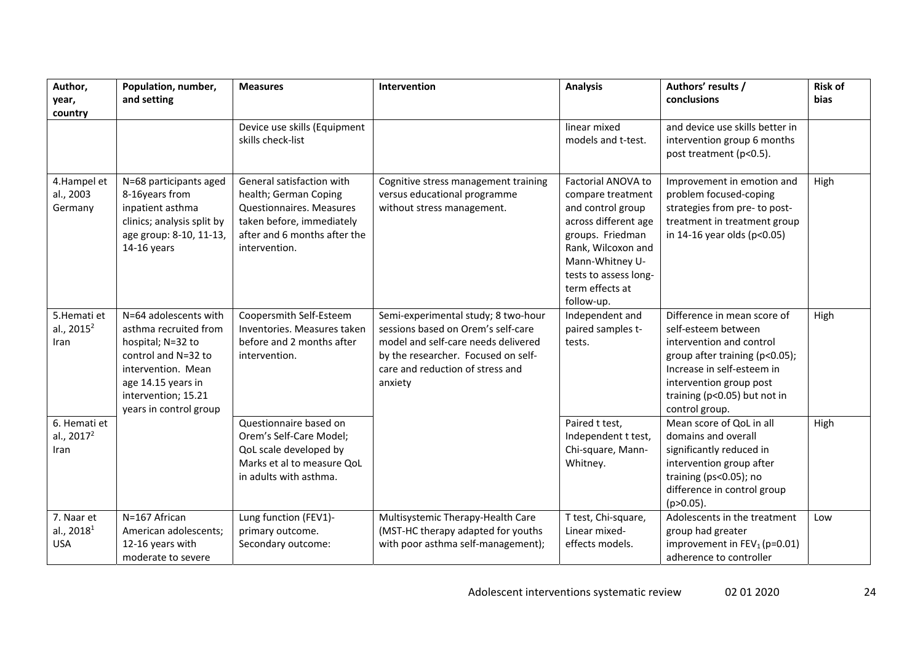| Author,<br>year,<br>country                    | Population, number,<br>and setting                                                                                                                                                      | <b>Measures</b>                                                                                                                                              | Intervention                                                                                                                                                                                           | <b>Analysis</b>                                                                                                                                                                                             | Authors' results /<br>conclusions                                                                                                                                                                                           | <b>Risk of</b><br>bias |
|------------------------------------------------|-----------------------------------------------------------------------------------------------------------------------------------------------------------------------------------------|--------------------------------------------------------------------------------------------------------------------------------------------------------------|--------------------------------------------------------------------------------------------------------------------------------------------------------------------------------------------------------|-------------------------------------------------------------------------------------------------------------------------------------------------------------------------------------------------------------|-----------------------------------------------------------------------------------------------------------------------------------------------------------------------------------------------------------------------------|------------------------|
|                                                |                                                                                                                                                                                         | Device use skills (Equipment<br>skills check-list                                                                                                            |                                                                                                                                                                                                        | linear mixed<br>models and t-test.                                                                                                                                                                          | and device use skills better in<br>intervention group 6 months<br>post treatment (p<0.5).                                                                                                                                   |                        |
| 4.Hampel et<br>al., 2003<br>Germany            | N=68 participants aged<br>8-16years from<br>inpatient asthma<br>clinics; analysis split by<br>age group: 8-10, 11-13,<br>14-16 years                                                    | General satisfaction with<br>health; German Coping<br>Questionnaires. Measures<br>taken before, immediately<br>after and 6 months after the<br>intervention. | Cognitive stress management training<br>versus educational programme<br>without stress management.                                                                                                     | Factorial ANOVA to<br>compare treatment<br>and control group<br>across different age<br>groups. Friedman<br>Rank, Wilcoxon and<br>Mann-Whitney U-<br>tests to assess long-<br>term effects at<br>follow-up. | Improvement in emotion and<br>problem focused-coping<br>strategies from pre- to post-<br>treatment in treatment group<br>in 14-16 year olds (p<0.05)                                                                        | High                   |
| 5. Hemati et<br>al., 2015 <sup>2</sup><br>Iran | N=64 adolescents with<br>asthma recruited from<br>hospital; N=32 to<br>control and N=32 to<br>intervention. Mean<br>age 14.15 years in<br>intervention; 15.21<br>years in control group | Coopersmith Self-Esteem<br>Inventories. Measures taken<br>before and 2 months after<br>intervention.                                                         | Semi-experimental study; 8 two-hour<br>sessions based on Orem's self-care<br>model and self-care needs delivered<br>by the researcher. Focused on self-<br>care and reduction of stress and<br>anxiety | Independent and<br>paired samples t-<br>tests.                                                                                                                                                              | Difference in mean score of<br>self-esteem between<br>intervention and control<br>group after training (p<0.05);<br>Increase in self-esteem in<br>intervention group post<br>training (p<0.05) but not in<br>control group. | High                   |
| 6. Hemati et<br>al., $2017^2$<br>Iran          |                                                                                                                                                                                         | Questionnaire based on<br>Orem's Self-Care Model;<br>QoL scale developed by<br>Marks et al to measure QoL<br>in adults with asthma.                          |                                                                                                                                                                                                        | Paired t test,<br>Independent t test,<br>Chi-square, Mann-<br>Whitney.                                                                                                                                      | Mean score of QoL in all<br>domains and overall<br>significantly reduced in<br>intervention group after<br>training (ps<0.05); no<br>difference in control group<br>(p>0.05).                                               | High                   |
| 7. Naar et<br>al., $20181$<br><b>USA</b>       | N=167 African<br>American adolescents;<br>12-16 years with<br>moderate to severe                                                                                                        | Lung function (FEV1)-<br>primary outcome.<br>Secondary outcome:                                                                                              | Multisystemic Therapy-Health Care<br>(MST-HC therapy adapted for youths<br>with poor asthma self-management);                                                                                          | T test, Chi-square,<br>Linear mixed-<br>effects models.                                                                                                                                                     | Adolescents in the treatment<br>group had greater<br>improvement in FEV <sub>1</sub> (p=0.01)<br>adherence to controller                                                                                                    | Low                    |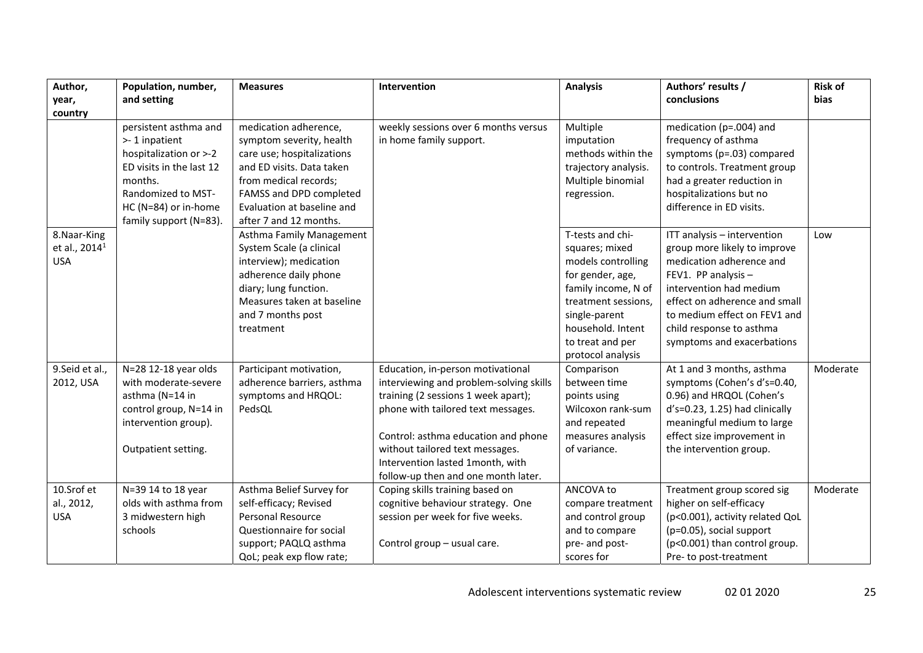| Author,                                                 | Population, number,                                                                                                                                                             | <b>Measures</b>                                                                                                                                                                                                          | Intervention                                                                                                                                                                                                                                                                                                   | <b>Analysis</b>                                                                                                                                                                                           | Authors' results /                                                                                                                                                                                                                                                   | <b>Risk of</b> |
|---------------------------------------------------------|---------------------------------------------------------------------------------------------------------------------------------------------------------------------------------|--------------------------------------------------------------------------------------------------------------------------------------------------------------------------------------------------------------------------|----------------------------------------------------------------------------------------------------------------------------------------------------------------------------------------------------------------------------------------------------------------------------------------------------------------|-----------------------------------------------------------------------------------------------------------------------------------------------------------------------------------------------------------|----------------------------------------------------------------------------------------------------------------------------------------------------------------------------------------------------------------------------------------------------------------------|----------------|
| year,                                                   | and setting                                                                                                                                                                     |                                                                                                                                                                                                                          |                                                                                                                                                                                                                                                                                                                |                                                                                                                                                                                                           | conclusions                                                                                                                                                                                                                                                          | bias           |
| country                                                 |                                                                                                                                                                                 |                                                                                                                                                                                                                          |                                                                                                                                                                                                                                                                                                                |                                                                                                                                                                                                           |                                                                                                                                                                                                                                                                      |                |
|                                                         | persistent asthma and<br>>-1 inpatient<br>hospitalization or >-2<br>ED visits in the last 12<br>months.<br>Randomized to MST-<br>HC (N=84) or in-home<br>family support (N=83). | medication adherence,<br>symptom severity, health<br>care use; hospitalizations<br>and ED visits. Data taken<br>from medical records;<br>FAMSS and DPD completed<br>Evaluation at baseline and<br>after 7 and 12 months. | weekly sessions over 6 months versus<br>in home family support.                                                                                                                                                                                                                                                | Multiple<br>imputation<br>methods within the<br>trajectory analysis.<br>Multiple binomial<br>regression.                                                                                                  | medication (p=.004) and<br>frequency of asthma<br>symptoms (p=.03) compared<br>to controls. Treatment group<br>had a greater reduction in<br>hospitalizations but no<br>difference in ED visits.                                                                     |                |
| 8. Naar-King<br>et al., 2014 <sup>1</sup><br><b>USA</b> |                                                                                                                                                                                 | Asthma Family Management<br>System Scale (a clinical<br>interview); medication<br>adherence daily phone<br>diary; lung function.<br>Measures taken at baseline<br>and 7 months post<br>treatment                         |                                                                                                                                                                                                                                                                                                                | T-tests and chi-<br>squares; mixed<br>models controlling<br>for gender, age,<br>family income, N of<br>treatment sessions,<br>single-parent<br>household. Intent<br>to treat and per<br>protocol analysis | ITT analysis - intervention<br>group more likely to improve<br>medication adherence and<br>FEV1. PP analysis -<br>intervention had medium<br>effect on adherence and small<br>to medium effect on FEV1 and<br>child response to asthma<br>symptoms and exacerbations | Low            |
| 9.Seid et al.,<br>2012, USA                             | N=28 12-18 year olds<br>with moderate-severe<br>asthma (N=14 in<br>control group, N=14 in<br>intervention group).<br>Outpatient setting.                                        | Participant motivation,<br>adherence barriers, asthma<br>symptoms and HRQOL:<br>PedsQL                                                                                                                                   | Education, in-person motivational<br>interviewing and problem-solving skills<br>training (2 sessions 1 week apart);<br>phone with tailored text messages.<br>Control: asthma education and phone<br>without tailored text messages.<br>Intervention lasted 1month, with<br>follow-up then and one month later. | Comparison<br>between time<br>points using<br>Wilcoxon rank-sum<br>and repeated<br>measures analysis<br>of variance.                                                                                      | At 1 and 3 months, asthma<br>symptoms (Cohen's d's=0.40,<br>0.96) and HRQOL (Cohen's<br>d's=0.23, 1.25) had clinically<br>meaningful medium to large<br>effect size improvement in<br>the intervention group.                                                        | Moderate       |
| 10.Srof et<br>al., 2012,<br><b>USA</b>                  | N=39 14 to 18 year<br>olds with asthma from<br>3 midwestern high<br>schools                                                                                                     | Asthma Belief Survey for<br>self-efficacy; Revised<br><b>Personal Resource</b><br>Questionnaire for social<br>support; PAQLQ asthma<br>QoL; peak exp flow rate;                                                          | Coping skills training based on<br>cognitive behaviour strategy. One<br>session per week for five weeks.<br>Control group - usual care.                                                                                                                                                                        | ANCOVA to<br>compare treatment<br>and control group<br>and to compare<br>pre- and post-<br>scores for                                                                                                     | Treatment group scored sig<br>higher on self-efficacy<br>(p<0.001), activity related QoL<br>(p=0.05), social support<br>(p<0.001) than control group.<br>Pre- to post-treatment                                                                                      | Moderate       |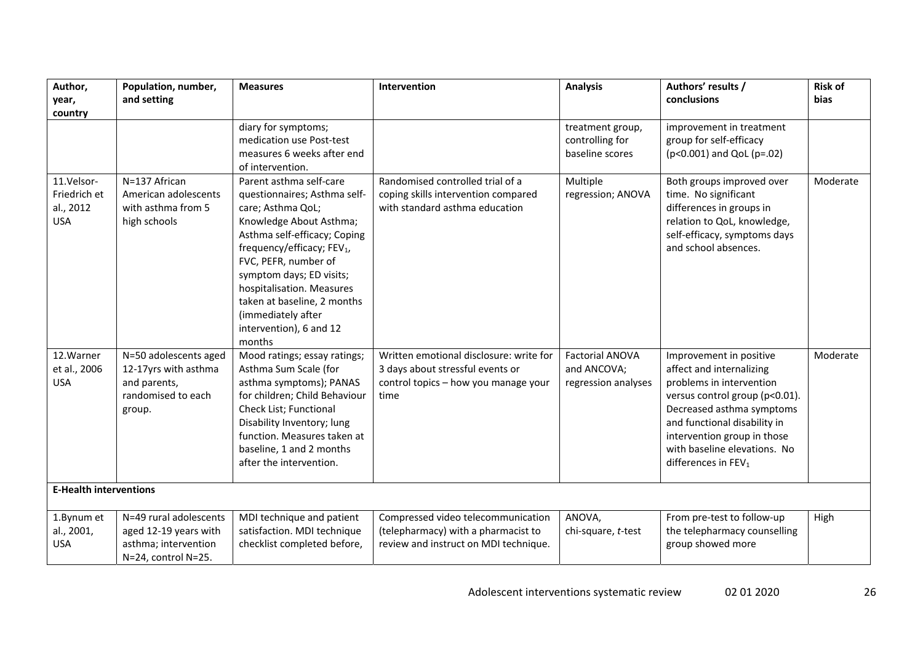| Author,                                               | Population, number,                                                                            | <b>Measures</b>                                                                                                                                                                                                                                                                                                                                              | Intervention                                                                                                                | <b>Analysis</b>                                              | Authors' results /                                                                                                                                                                                                                                                               | <b>Risk of</b> |
|-------------------------------------------------------|------------------------------------------------------------------------------------------------|--------------------------------------------------------------------------------------------------------------------------------------------------------------------------------------------------------------------------------------------------------------------------------------------------------------------------------------------------------------|-----------------------------------------------------------------------------------------------------------------------------|--------------------------------------------------------------|----------------------------------------------------------------------------------------------------------------------------------------------------------------------------------------------------------------------------------------------------------------------------------|----------------|
| year,<br>country                                      | and setting                                                                                    |                                                                                                                                                                                                                                                                                                                                                              |                                                                                                                             |                                                              | conclusions                                                                                                                                                                                                                                                                      | <b>bias</b>    |
|                                                       |                                                                                                | diary for symptoms;<br>medication use Post-test<br>measures 6 weeks after end<br>of intervention.                                                                                                                                                                                                                                                            |                                                                                                                             | treatment group,<br>controlling for<br>baseline scores       | improvement in treatment<br>group for self-efficacy<br>(p<0.001) and QoL (p=.02)                                                                                                                                                                                                 |                |
| 11.Velsor-<br>Friedrich et<br>al., 2012<br><b>USA</b> | N=137 African<br>American adolescents<br>with asthma from 5<br>high schools                    | Parent asthma self-care<br>questionnaires; Asthma self-<br>care; Asthma QoL;<br>Knowledge About Asthma;<br>Asthma self-efficacy; Coping<br>frequency/efficacy; FEV <sub>1</sub> ,<br>FVC, PEFR, number of<br>symptom days; ED visits;<br>hospitalisation. Measures<br>taken at baseline, 2 months<br>(immediately after<br>intervention), 6 and 12<br>months | Randomised controlled trial of a<br>coping skills intervention compared<br>with standard asthma education                   | Multiple<br>regression; ANOVA                                | Both groups improved over<br>time. No significant<br>differences in groups in<br>relation to QoL, knowledge,<br>self-efficacy, symptoms days<br>and school absences.                                                                                                             | Moderate       |
| 12. Warner<br>et al., 2006<br><b>USA</b>              | N=50 adolescents aged<br>12-17yrs with asthma<br>and parents,<br>randomised to each<br>group.  | Mood ratings; essay ratings;<br>Asthma Sum Scale (for<br>asthma symptoms); PANAS<br>for children; Child Behaviour<br>Check List; Functional<br>Disability Inventory; lung<br>function. Measures taken at<br>baseline, 1 and 2 months<br>after the intervention.                                                                                              | Written emotional disclosure: write for<br>3 days about stressful events or<br>control topics - how you manage your<br>time | <b>Factorial ANOVA</b><br>and ANCOVA;<br>regression analyses | Improvement in positive<br>affect and internalizing<br>problems in intervention<br>versus control group (p<0.01).<br>Decreased asthma symptoms<br>and functional disability in<br>intervention group in those<br>with baseline elevations. No<br>differences in FEV <sub>1</sub> | Moderate       |
| <b>E-Health interventions</b>                         |                                                                                                |                                                                                                                                                                                                                                                                                                                                                              |                                                                                                                             |                                                              |                                                                                                                                                                                                                                                                                  |                |
| 1.Bynum et<br>al., 2001,<br><b>USA</b>                | N=49 rural adolescents<br>aged 12-19 years with<br>asthma; intervention<br>N=24, control N=25. | MDI technique and patient<br>satisfaction. MDI technique<br>checklist completed before,                                                                                                                                                                                                                                                                      | Compressed video telecommunication<br>(telepharmacy) with a pharmacist to<br>review and instruct on MDI technique.          | ANOVA,<br>chi-square, t-test                                 | From pre-test to follow-up<br>the telepharmacy counselling<br>group showed more                                                                                                                                                                                                  | High           |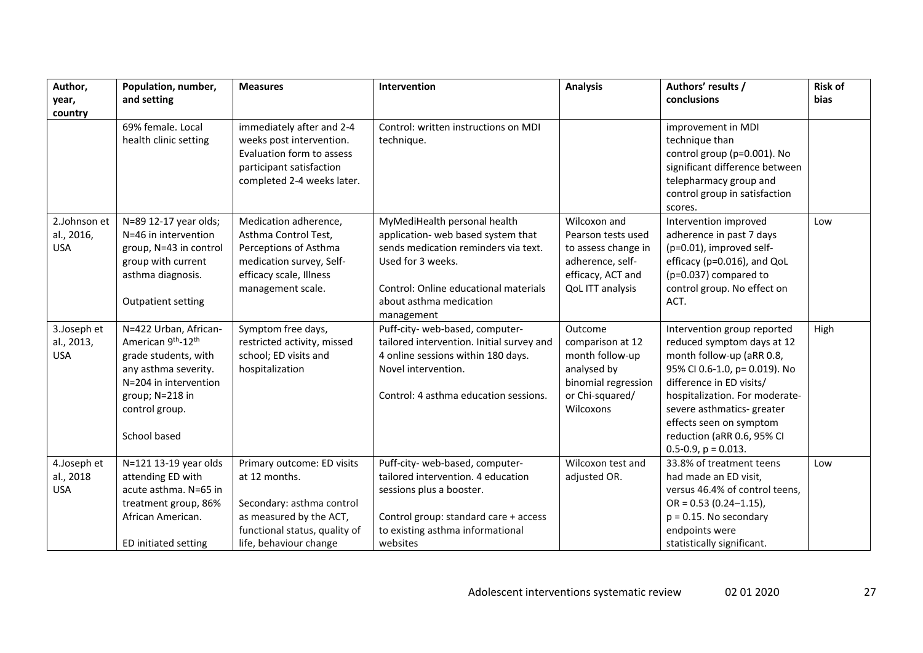| Author,<br>year,                         | Population, number,<br>and setting                                                                                                                                       | <b>Measures</b>                                                                                                                                                | Intervention                                                                                                                                                                                                      | <b>Analysis</b>                                                                                                        | Authors' results /<br>conclusions                                                                                                                                                                                                                                                                           | <b>Risk of</b><br><b>bias</b> |
|------------------------------------------|--------------------------------------------------------------------------------------------------------------------------------------------------------------------------|----------------------------------------------------------------------------------------------------------------------------------------------------------------|-------------------------------------------------------------------------------------------------------------------------------------------------------------------------------------------------------------------|------------------------------------------------------------------------------------------------------------------------|-------------------------------------------------------------------------------------------------------------------------------------------------------------------------------------------------------------------------------------------------------------------------------------------------------------|-------------------------------|
| country                                  | 69% female. Local<br>health clinic setting                                                                                                                               | immediately after and 2-4<br>weeks post intervention.<br>Evaluation form to assess<br>participant satisfaction<br>completed 2-4 weeks later.                   | Control: written instructions on MDI<br>technique.                                                                                                                                                                |                                                                                                                        | improvement in MDI<br>technique than<br>control group (p=0.001). No<br>significant difference between<br>telepharmacy group and<br>control group in satisfaction                                                                                                                                            |                               |
| 2.Johnson et<br>al., 2016,<br><b>USA</b> | N=89 12-17 year olds;<br>N=46 in intervention<br>group, N=43 in control<br>group with current<br>asthma diagnosis.<br><b>Outpatient setting</b>                          | Medication adherence,<br>Asthma Control Test,<br>Perceptions of Asthma<br>medication survey, Self-<br>efficacy scale, Illness<br>management scale.             | MyMediHealth personal health<br>application- web based system that<br>sends medication reminders via text.<br>Used for 3 weeks.<br>Control: Online educational materials<br>about asthma medication<br>management | Wilcoxon and<br>Pearson tests used<br>to assess change in<br>adherence, self-<br>efficacy, ACT and<br>QoL ITT analysis | scores.<br>Intervention improved<br>adherence in past 7 days<br>(p=0.01), improved self-<br>efficacy (p=0.016), and QoL<br>(p=0.037) compared to<br>control group. No effect on<br>ACT.                                                                                                                     | Low                           |
| 3.Joseph et<br>al., 2013,<br><b>USA</b>  | N=422 Urban, African-<br>American 9th-12th<br>grade students, with<br>any asthma severity.<br>N=204 in intervention<br>group; N=218 in<br>control group.<br>School based | Symptom free days,<br>restricted activity, missed<br>school; ED visits and<br>hospitalization                                                                  | Puff-city- web-based, computer-<br>tailored intervention. Initial survey and<br>4 online sessions within 180 days.<br>Novel intervention.<br>Control: 4 asthma education sessions.                                | Outcome<br>comparison at 12<br>month follow-up<br>analysed by<br>binomial regression<br>or Chi-squared/<br>Wilcoxons   | Intervention group reported<br>reduced symptom days at 12<br>month follow-up (aRR 0.8,<br>95% CI 0.6-1.0, p= 0.019). No<br>difference in ED visits/<br>hospitalization. For moderate-<br>severe asthmatics- greater<br>effects seen on symptom<br>reduction (aRR 0.6, 95% CI<br>$0.5 - 0.9$ , $p = 0.013$ . | High                          |
| 4.Joseph et<br>al., 2018<br><b>USA</b>   | N=121 13-19 year olds<br>attending ED with<br>acute asthma. N=65 in<br>treatment group, 86%<br>African American.<br>ED initiated setting                                 | Primary outcome: ED visits<br>at 12 months.<br>Secondary: asthma control<br>as measured by the ACT,<br>functional status, quality of<br>life, behaviour change | Puff-city- web-based, computer-<br>tailored intervention. 4 education<br>sessions plus a booster.<br>Control group: standard care + access<br>to existing asthma informational<br>websites                        | Wilcoxon test and<br>adjusted OR.                                                                                      | 33.8% of treatment teens<br>had made an ED visit,<br>versus 46.4% of control teens,<br>$OR = 0.53 (0.24 - 1.15)$ ,<br>$p = 0.15$ . No secondary<br>endpoints were<br>statistically significant.                                                                                                             | Low                           |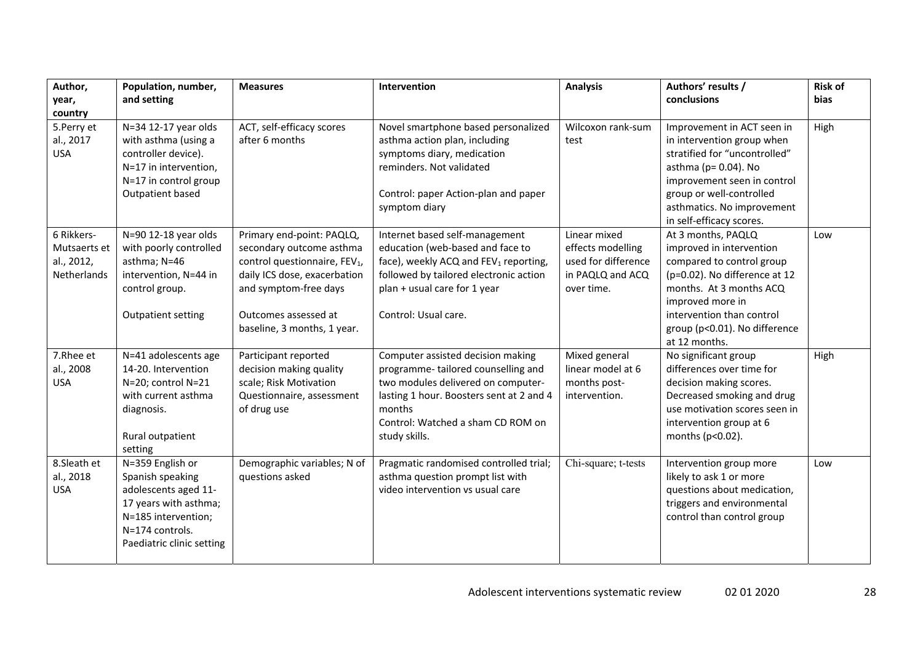| Author,<br>year,<br>country                             | Population, number,<br>and setting                                                                                                                           | <b>Measures</b>                                                                                                                                                                                                    | Intervention                                                                                                                                                                                                              | <b>Analysis</b>                                                                            | Authors' results /<br>conclusions                                                                                                                                                                                                           | <b>Risk of</b><br>bias |
|---------------------------------------------------------|--------------------------------------------------------------------------------------------------------------------------------------------------------------|--------------------------------------------------------------------------------------------------------------------------------------------------------------------------------------------------------------------|---------------------------------------------------------------------------------------------------------------------------------------------------------------------------------------------------------------------------|--------------------------------------------------------------------------------------------|---------------------------------------------------------------------------------------------------------------------------------------------------------------------------------------------------------------------------------------------|------------------------|
| 5. Perry et<br>al., 2017<br><b>USA</b>                  | N=34 12-17 year olds<br>with asthma (using a<br>controller device).<br>N=17 in intervention,<br>N=17 in control group<br>Outpatient based                    | ACT, self-efficacy scores<br>after 6 months                                                                                                                                                                        | Novel smartphone based personalized<br>asthma action plan, including<br>symptoms diary, medication<br>reminders. Not validated<br>Control: paper Action-plan and paper<br>symptom diary                                   | Wilcoxon rank-sum<br>test                                                                  | Improvement in ACT seen in<br>in intervention group when<br>stratified for "uncontrolled"<br>asthma ( $p = 0.04$ ). No<br>improvement seen in control<br>group or well-controlled<br>asthmatics. No improvement<br>in self-efficacy scores. | High                   |
| 6 Rikkers-<br>Mutsaerts et<br>al., 2012,<br>Netherlands | N=90 12-18 year olds<br>with poorly controlled<br>asthma; N=46<br>intervention, N=44 in<br>control group.<br>Outpatient setting                              | Primary end-point: PAQLQ,<br>secondary outcome asthma<br>control questionnaire, FEV <sub>1</sub> ,<br>daily ICS dose, exacerbation<br>and symptom-free days<br>Outcomes assessed at<br>baseline, 3 months, 1 year. | Internet based self-management<br>education (web-based and face to<br>face), weekly ACQ and FEV1 reporting,<br>followed by tailored electronic action<br>plan + usual care for 1 year<br>Control: Usual care.             | Linear mixed<br>effects modelling<br>used for difference<br>in PAQLQ and ACQ<br>over time. | At 3 months, PAQLQ<br>improved in intervention<br>compared to control group<br>(p=0.02). No difference at 12<br>months. At 3 months ACQ<br>improved more in<br>intervention than control<br>group (p<0.01). No difference<br>at 12 months.  | Low                    |
| 7.Rhee et<br>al., 2008<br><b>USA</b>                    | N=41 adolescents age<br>14-20. Intervention<br>N=20; control N=21<br>with current asthma<br>diagnosis.<br>Rural outpatient<br>setting                        | Participant reported<br>decision making quality<br>scale; Risk Motivation<br>Questionnaire, assessment<br>of drug use                                                                                              | Computer assisted decision making<br>programme-tailored counselling and<br>two modules delivered on computer-<br>lasting 1 hour. Boosters sent at 2 and 4<br>months<br>Control: Watched a sham CD ROM on<br>study skills. | Mixed general<br>linear model at 6<br>months post-<br>intervention.                        | No significant group<br>differences over time for<br>decision making scores.<br>Decreased smoking and drug<br>use motivation scores seen in<br>intervention group at 6<br>months (p<0.02).                                                  | High                   |
| 8.Sleath et<br>al., 2018<br><b>USA</b>                  | N=359 English or<br>Spanish speaking<br>adolescents aged 11-<br>17 years with asthma;<br>N=185 intervention;<br>N=174 controls.<br>Paediatric clinic setting | Demographic variables; N of<br>questions asked                                                                                                                                                                     | Pragmatic randomised controlled trial;<br>asthma question prompt list with<br>video intervention vs usual care                                                                                                            | Chi-square; t-tests                                                                        | Intervention group more<br>likely to ask 1 or more<br>questions about medication,<br>triggers and environmental<br>control than control group                                                                                               | Low                    |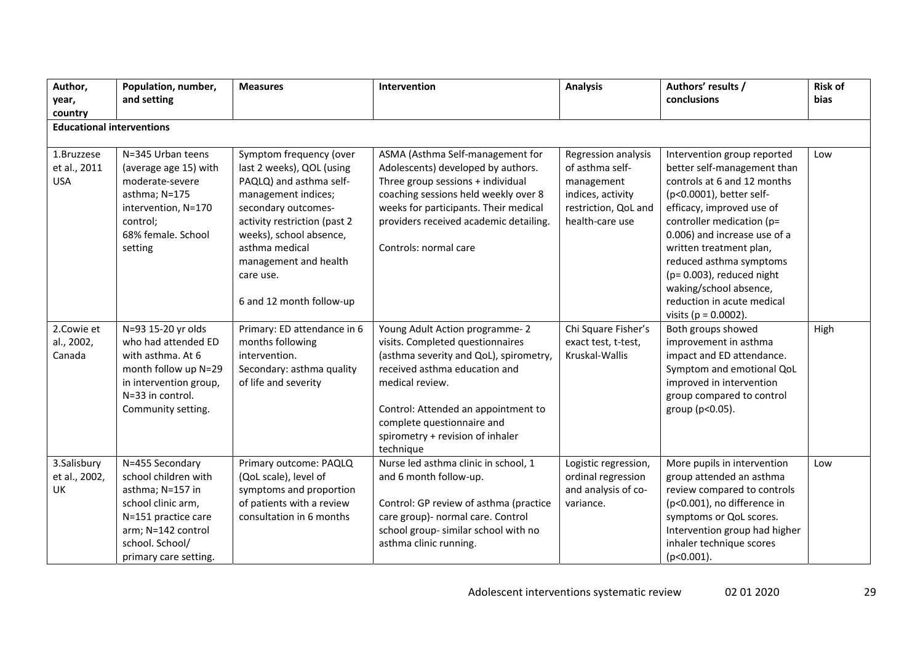| Author,<br>year,<br>country               | Population, number,<br>and setting                                                                                                                                         | <b>Measures</b>                                                                                                                                                                                                                                                              | Intervention                                                                                                                                                                                                                                                                           | <b>Analysis</b>                                                                                                      | Authors' results /<br>conclusions                                                                                                                                                                                                                                                                                                                                                        | <b>Risk of</b><br>bias |
|-------------------------------------------|----------------------------------------------------------------------------------------------------------------------------------------------------------------------------|------------------------------------------------------------------------------------------------------------------------------------------------------------------------------------------------------------------------------------------------------------------------------|----------------------------------------------------------------------------------------------------------------------------------------------------------------------------------------------------------------------------------------------------------------------------------------|----------------------------------------------------------------------------------------------------------------------|------------------------------------------------------------------------------------------------------------------------------------------------------------------------------------------------------------------------------------------------------------------------------------------------------------------------------------------------------------------------------------------|------------------------|
| <b>Educational interventions</b>          |                                                                                                                                                                            |                                                                                                                                                                                                                                                                              |                                                                                                                                                                                                                                                                                        |                                                                                                                      |                                                                                                                                                                                                                                                                                                                                                                                          |                        |
| 1.Bruzzese<br>et al., 2011<br><b>USA</b>  | N=345 Urban teens<br>(average age 15) with<br>moderate-severe<br>asthma; N=175<br>intervention, N=170<br>control;<br>68% female. School<br>setting                         | Symptom frequency (over<br>last 2 weeks), QOL (using<br>PAQLQ) and asthma self-<br>management indices;<br>secondary outcomes-<br>activity restriction (past 2<br>weeks), school absence,<br>asthma medical<br>management and health<br>care use.<br>6 and 12 month follow-up | ASMA (Asthma Self-management for<br>Adolescents) developed by authors.<br>Three group sessions + individual<br>coaching sessions held weekly over 8<br>weeks for participants. Their medical<br>providers received academic detailing.<br>Controls: normal care                        | Regression analysis<br>of asthma self-<br>management<br>indices, activity<br>restriction, QoL and<br>health-care use | Intervention group reported<br>better self-management than<br>controls at 6 and 12 months<br>(p<0.0001), better self-<br>efficacy, improved use of<br>controller medication (p=<br>0.006) and increase use of a<br>written treatment plan,<br>reduced asthma symptoms<br>$(p=0.003)$ , reduced night<br>waking/school absence,<br>reduction in acute medical<br>visits ( $p = 0.0002$ ). | Low                    |
| 2.Cowie et<br>al., 2002,<br>Canada        | N=93 15-20 yr olds<br>who had attended ED<br>with asthma. At 6<br>month follow up N=29<br>in intervention group,<br>N=33 in control.<br>Community setting.                 | Primary: ED attendance in 6<br>months following<br>intervention.<br>Secondary: asthma quality<br>of life and severity                                                                                                                                                        | Young Adult Action programme-2<br>visits. Completed questionnaires<br>(asthma severity and QoL), spirometry,<br>received asthma education and<br>medical review.<br>Control: Attended an appointment to<br>complete questionnaire and<br>spirometry + revision of inhaler<br>technique | Chi Square Fisher's<br>exact test, t-test,<br>Kruskal-Wallis                                                         | Both groups showed<br>improvement in asthma<br>impact and ED attendance.<br>Symptom and emotional QoL<br>improved in intervention<br>group compared to control<br>group (p<0.05).                                                                                                                                                                                                        | High                   |
| 3.Salisbury<br>et al., 2002,<br><b>UK</b> | N=455 Secondary<br>school children with<br>asthma; N=157 in<br>school clinic arm,<br>N=151 practice care<br>arm; N=142 control<br>school. School/<br>primary care setting. | Primary outcome: PAQLQ<br>(QoL scale), level of<br>symptoms and proportion<br>of patients with a review<br>consultation in 6 months                                                                                                                                          | Nurse led asthma clinic in school, 1<br>and 6 month follow-up.<br>Control: GP review of asthma (practice<br>care group)- normal care. Control<br>school group- similar school with no<br>asthma clinic running.                                                                        | Logistic regression,<br>ordinal regression<br>and analysis of co-<br>variance.                                       | More pupils in intervention<br>group attended an asthma<br>review compared to controls<br>(p<0.001), no difference in<br>symptoms or QoL scores.<br>Intervention group had higher<br>inhaler technique scores<br>$(p<0.001)$ .                                                                                                                                                           | Low                    |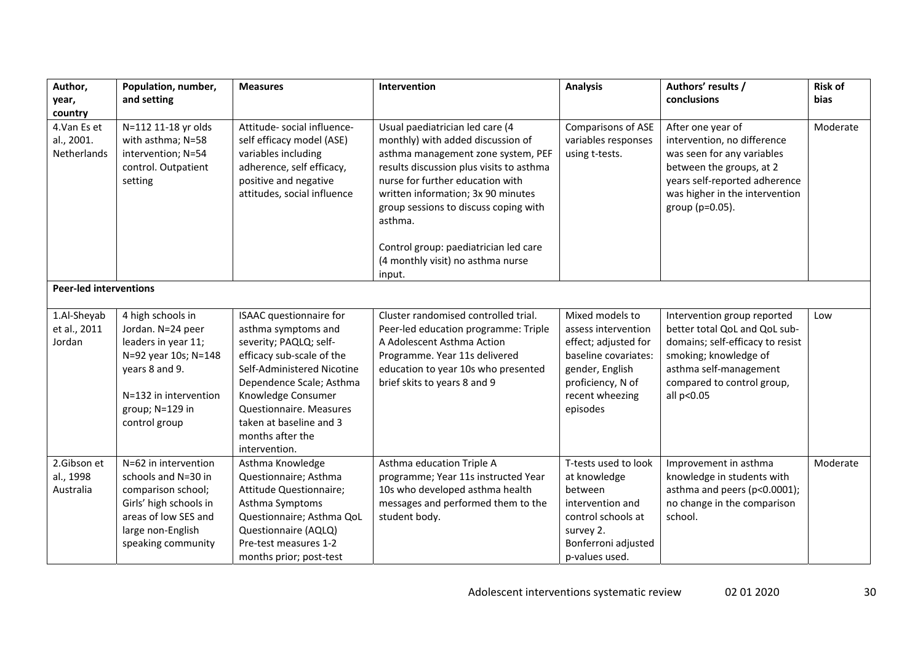| Author,                                  | Population, number,                                                                                                                                                  | <b>Measures</b>                                                                                                                                                                                                                                                                  | Intervention                                                                                                                                                                                                                                                                         | <b>Analysis</b>                                                                                                                                               | Authors' results /                                                                                                                                                                               | <b>Risk of</b> |
|------------------------------------------|----------------------------------------------------------------------------------------------------------------------------------------------------------------------|----------------------------------------------------------------------------------------------------------------------------------------------------------------------------------------------------------------------------------------------------------------------------------|--------------------------------------------------------------------------------------------------------------------------------------------------------------------------------------------------------------------------------------------------------------------------------------|---------------------------------------------------------------------------------------------------------------------------------------------------------------|--------------------------------------------------------------------------------------------------------------------------------------------------------------------------------------------------|----------------|
| year,                                    | and setting                                                                                                                                                          |                                                                                                                                                                                                                                                                                  |                                                                                                                                                                                                                                                                                      |                                                                                                                                                               | conclusions                                                                                                                                                                                      | <b>bias</b>    |
| country                                  |                                                                                                                                                                      |                                                                                                                                                                                                                                                                                  |                                                                                                                                                                                                                                                                                      |                                                                                                                                                               |                                                                                                                                                                                                  |                |
| 4.Van Es et<br>al., 2001.<br>Netherlands | N=112 11-18 yr olds<br>with asthma; N=58<br>intervention; N=54<br>control. Outpatient<br>setting                                                                     | Attitude- social influence-<br>self efficacy model (ASE)<br>variables including<br>adherence, self efficacy,<br>positive and negative<br>attitudes, social influence                                                                                                             | Usual paediatrician led care (4<br>monthly) with added discussion of<br>asthma management zone system, PEF<br>results discussion plus visits to asthma<br>nurse for further education with<br>written information; 3x 90 minutes<br>group sessions to discuss coping with<br>asthma. | Comparisons of ASE<br>variables responses<br>using t-tests.                                                                                                   | After one year of<br>intervention, no difference<br>was seen for any variables<br>between the groups, at 2<br>years self-reported adherence<br>was higher in the intervention<br>group (p=0.05). | Moderate       |
|                                          |                                                                                                                                                                      |                                                                                                                                                                                                                                                                                  | Control group: paediatrician led care<br>(4 monthly visit) no asthma nurse<br>input.                                                                                                                                                                                                 |                                                                                                                                                               |                                                                                                                                                                                                  |                |
| <b>Peer-led interventions</b>            |                                                                                                                                                                      |                                                                                                                                                                                                                                                                                  |                                                                                                                                                                                                                                                                                      |                                                                                                                                                               |                                                                                                                                                                                                  |                |
| 1.Al-Sheyab<br>et al., 2011<br>Jordan    | 4 high schools in<br>Jordan. N=24 peer<br>leaders in year 11;<br>N=92 year 10s; N=148<br>years 8 and 9.<br>N=132 in intervention<br>group; N=129 in<br>control group | ISAAC questionnaire for<br>asthma symptoms and<br>severity; PAQLQ; self-<br>efficacy sub-scale of the<br>Self-Administered Nicotine<br>Dependence Scale; Asthma<br>Knowledge Consumer<br>Questionnaire. Measures<br>taken at baseline and 3<br>months after the<br>intervention. | Cluster randomised controlled trial.<br>Peer-led education programme: Triple<br>A Adolescent Asthma Action<br>Programme. Year 11s delivered<br>education to year 10s who presented<br>brief skits to years 8 and 9                                                                   | Mixed models to<br>assess intervention<br>effect; adjusted for<br>baseline covariates:<br>gender, English<br>proficiency, N of<br>recent wheezing<br>episodes | Intervention group reported<br>better total QoL and QoL sub-<br>domains; self-efficacy to resist<br>smoking; knowledge of<br>asthma self-management<br>compared to control group,<br>all p<0.05  | Low            |
| 2.Gibson et<br>al., 1998<br>Australia    | N=62 in intervention<br>schools and N=30 in<br>comparison school;<br>Girls' high schools in<br>areas of low SES and<br>large non-English<br>speaking community       | Asthma Knowledge<br>Questionnaire; Asthma<br>Attitude Questionnaire;<br>Asthma Symptoms<br>Questionnaire; Asthma QoL<br>Questionnaire (AQLQ)<br>Pre-test measures 1-2<br>months prior; post-test                                                                                 | Asthma education Triple A<br>programme; Year 11s instructed Year<br>10s who developed asthma health<br>messages and performed them to the<br>student body.                                                                                                                           | T-tests used to look<br>at knowledge<br>between<br>intervention and<br>control schools at<br>survey 2.<br>Bonferroni adjusted<br>p-values used.               | Improvement in asthma<br>knowledge in students with<br>asthma and peers (p<0.0001);<br>no change in the comparison<br>school.                                                                    | Moderate       |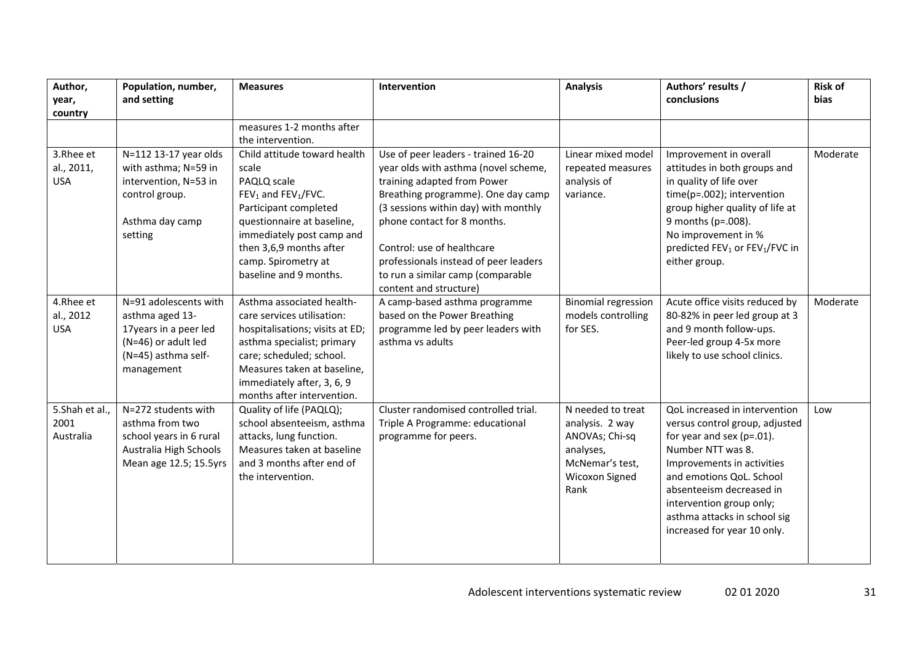| Author,<br>year,                      | Population, number,<br>and setting                                                                                            | <b>Measures</b>                                                                                                                                                                                                                                 | Intervention                                                                                                                                                                                                            | <b>Analysis</b>                                                                                                  | Authors' results /<br>conclusions                                                                                                                                                                                                                                                                      | <b>Risk of</b><br><b>bias</b> |
|---------------------------------------|-------------------------------------------------------------------------------------------------------------------------------|-------------------------------------------------------------------------------------------------------------------------------------------------------------------------------------------------------------------------------------------------|-------------------------------------------------------------------------------------------------------------------------------------------------------------------------------------------------------------------------|------------------------------------------------------------------------------------------------------------------|--------------------------------------------------------------------------------------------------------------------------------------------------------------------------------------------------------------------------------------------------------------------------------------------------------|-------------------------------|
| country                               |                                                                                                                               | measures 1-2 months after<br>the intervention.                                                                                                                                                                                                  |                                                                                                                                                                                                                         |                                                                                                                  |                                                                                                                                                                                                                                                                                                        |                               |
| 3.Rhee et<br>al., 2011,<br><b>USA</b> | N=112 13-17 year olds<br>with asthma; N=59 in<br>intervention, N=53 in<br>control group.<br>Asthma day camp<br>setting        | Child attitude toward health<br>scale<br>PAQLQ scale<br>FEV <sub>1</sub> and FEV <sub>1</sub> /FVC.<br>Participant completed<br>questionnaire at baseline,<br>immediately post camp and                                                         | Use of peer leaders - trained 16-20<br>year olds with asthma (novel scheme,<br>training adapted from Power<br>Breathing programme). One day camp<br>(3 sessions within day) with monthly<br>phone contact for 8 months. | Linear mixed model<br>repeated measures<br>analysis of<br>variance.                                              | Improvement in overall<br>attitudes in both groups and<br>in quality of life over<br>time(p=.002); intervention<br>group higher quality of life at<br>9 months (p=.008).<br>No improvement in %                                                                                                        | Moderate                      |
|                                       |                                                                                                                               | then 3,6,9 months after<br>camp. Spirometry at<br>baseline and 9 months.                                                                                                                                                                        | Control: use of healthcare<br>professionals instead of peer leaders<br>to run a similar camp (comparable<br>content and structure)                                                                                      |                                                                                                                  | predicted FEV <sub>1</sub> or FEV <sub>1</sub> /FVC in<br>either group.                                                                                                                                                                                                                                |                               |
| 4.Rhee et<br>al., 2012<br><b>USA</b>  | N=91 adolescents with<br>asthma aged 13-<br>17years in a peer led<br>(N=46) or adult led<br>(N=45) asthma self-<br>management | Asthma associated health-<br>care services utilisation:<br>hospitalisations; visits at ED;<br>asthma specialist; primary<br>care; scheduled; school.<br>Measures taken at baseline,<br>immediately after, 3, 6, 9<br>months after intervention. | A camp-based asthma programme<br>based on the Power Breathing<br>programme led by peer leaders with<br>asthma vs adults                                                                                                 | <b>Binomial regression</b><br>models controlling<br>for SES.                                                     | Acute office visits reduced by<br>80-82% in peer led group at 3<br>and 9 month follow-ups.<br>Peer-led group 4-5x more<br>likely to use school clinics.                                                                                                                                                | Moderate                      |
| 5.Shah et al.,<br>2001<br>Australia   | N=272 students with<br>asthma from two<br>school years in 6 rural<br>Australia High Schools<br>Mean age 12.5; 15.5yrs         | Quality of life (PAQLQ);<br>school absenteeism, asthma<br>attacks, lung function.<br>Measures taken at baseline<br>and 3 months after end of<br>the intervention.                                                                               | Cluster randomised controlled trial.<br>Triple A Programme: educational<br>programme for peers.                                                                                                                         | N needed to treat<br>analysis. 2 way<br>ANOVAs; Chi-sq<br>analyses,<br>McNemar's test,<br>Wicoxon Signed<br>Rank | QoL increased in intervention<br>versus control group, adjusted<br>for year and sex ( $p=.01$ ).<br>Number NTT was 8.<br>Improvements in activities<br>and emotions QoL. School<br>absenteeism decreased in<br>intervention group only;<br>asthma attacks in school sig<br>increased for year 10 only. | Low                           |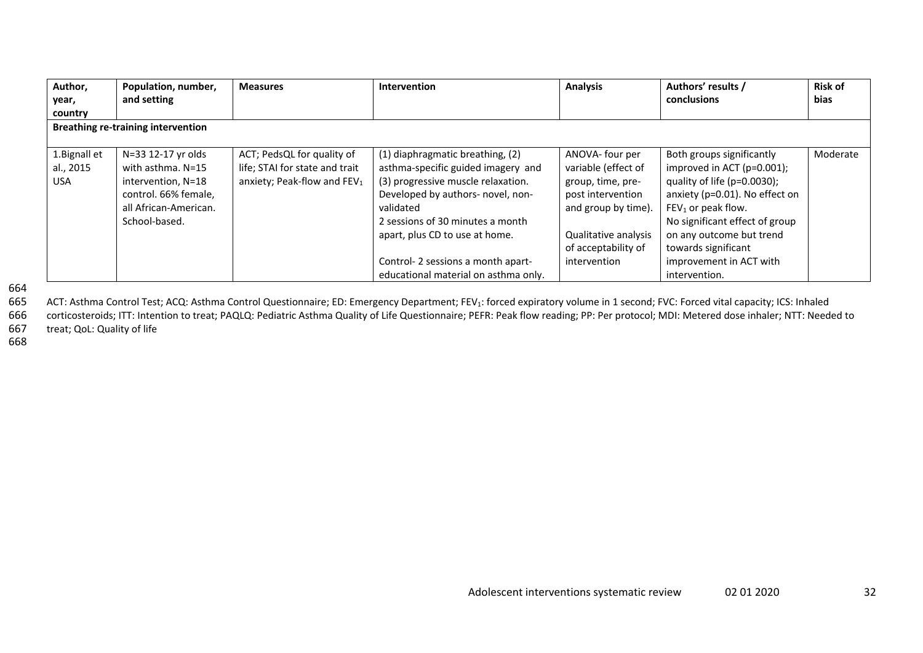| Author,<br>year,                         | Population, number,<br>and setting                                                                                              | <b>Measures</b>                                                                                         | Intervention                                                                                                                                                                                                                         | <b>Analysis</b>                                                                                                                                        | Authors' results /<br>conclusions                                                                                                                                                                                                         | <b>Risk of</b><br><b>bias</b> |
|------------------------------------------|---------------------------------------------------------------------------------------------------------------------------------|---------------------------------------------------------------------------------------------------------|--------------------------------------------------------------------------------------------------------------------------------------------------------------------------------------------------------------------------------------|--------------------------------------------------------------------------------------------------------------------------------------------------------|-------------------------------------------------------------------------------------------------------------------------------------------------------------------------------------------------------------------------------------------|-------------------------------|
| country                                  |                                                                                                                                 |                                                                                                         |                                                                                                                                                                                                                                      |                                                                                                                                                        |                                                                                                                                                                                                                                           |                               |
|                                          | <b>Breathing re-training intervention</b>                                                                                       |                                                                                                         |                                                                                                                                                                                                                                      |                                                                                                                                                        |                                                                                                                                                                                                                                           |                               |
| 1. Bignall et<br>al., 2015<br><b>USA</b> | N=33 12-17 yr olds<br>with asthma. N=15<br>intervention, N=18<br>control. 66% female,<br>all African-American.<br>School-based. | ACT; PedsQL for quality of<br>life; STAI for state and trait<br>anxiety; Peak-flow and FEV <sub>1</sub> | (1) diaphragmatic breathing, (2)<br>asthma-specific guided imagery and<br>(3) progressive muscle relaxation.<br>Developed by authors- novel, non-<br>validated<br>2 sessions of 30 minutes a month<br>apart, plus CD to use at home. | ANOVA- four per<br>variable (effect of<br>group, time, pre-<br>post intervention<br>and group by time).<br>Qualitative analysis<br>of acceptability of | Both groups significantly<br>improved in ACT ( $p=0.001$ );<br>quality of life (p=0.0030);<br>anxiety (p=0.01). No effect on<br>$FEV1$ or peak flow.<br>No significant effect of group<br>on any outcome but trend<br>towards significant | Moderate                      |
|                                          |                                                                                                                                 |                                                                                                         | Control-2 sessions a month apart-<br>educational material on asthma only.                                                                                                                                                            | intervention                                                                                                                                           | improvement in ACT with<br>intervention.                                                                                                                                                                                                  |                               |

664

665ACT: Asthma Control Test; ACQ: Asthma Control Questionnaire; ED: Emergency Department; FEV<sub>1</sub>: forced expiratory volume in 1 second; FVC: Forced vital capacity; ICS: Inhaled

666 corticosteroids; ITT: Intention to treat; PAQLQ: Pediatric Asthma Quality of Life Questionnaire; PEFR: Peak flow reading; PP: Per protocol; MDI: Metered dose inhaler; NTT: Needed to 667treat; QoL: Quality of life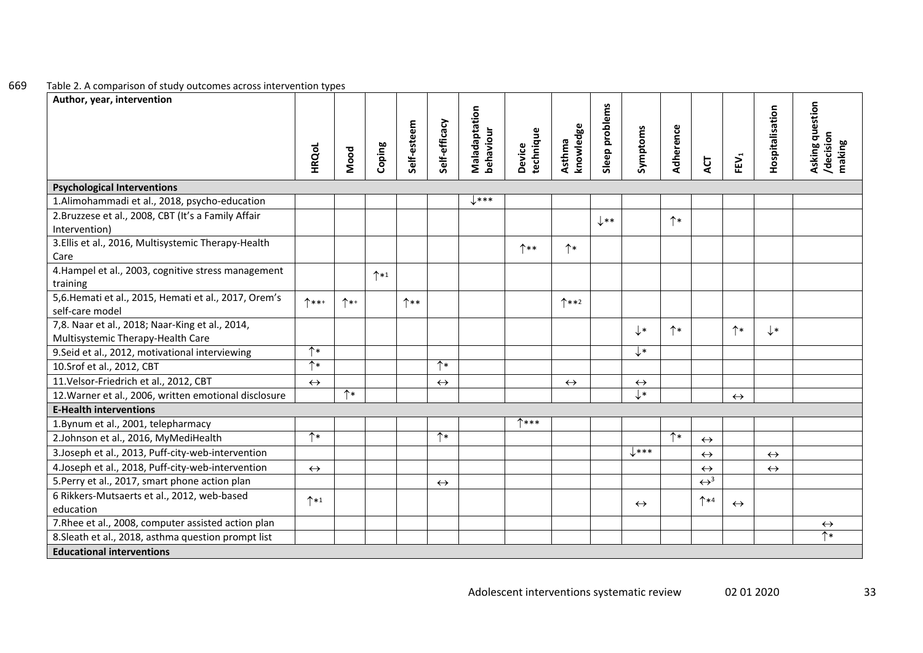#### 669Table 2. A comparison of study outcomes across intervention types

| Author, year, intervention                                                           |                       |      |                 |             |                   |                            |                     |                     |                 |                           |              |                                |                   |                   |                                        |
|--------------------------------------------------------------------------------------|-----------------------|------|-----------------|-------------|-------------------|----------------------------|---------------------|---------------------|-----------------|---------------------------|--------------|--------------------------------|-------------------|-------------------|----------------------------------------|
|                                                                                      | HRQoL                 | Mood | Coping          | Self-esteem | Self-efficacy     | Maladaptation<br>behaviour | Device<br>technique | knowledge<br>Asthma | Sleep problems  | Symptoms                  | Adherence    | ACT                            | FEV <sub>1</sub>  | Hospitalisation   | Asking question<br>/decision<br>making |
| <b>Psychological Interventions</b>                                                   |                       |      |                 |             |                   |                            |                     |                     |                 |                           |              |                                |                   |                   |                                        |
| 1.Alimohammadi et al., 2018, psycho-education                                        |                       |      |                 |             |                   | $\downarrow$ ***           |                     |                     |                 |                           |              |                                |                   |                   |                                        |
| 2. Bruzzese et al., 2008, CBT (It's a Family Affair<br>Intervention)                 |                       |      |                 |             |                   |                            |                     |                     | $\downarrow$ ** |                           | $\uparrow^*$ |                                |                   |                   |                                        |
| 3. Ellis et al., 2016, Multisystemic Therapy-Health<br>Care                          |                       |      |                 |             |                   |                            | ↑**                 | $\uparrow^*$        |                 |                           |              |                                |                   |                   |                                        |
| 4. Hampel et al., 2003, cognitive stress management<br>training                      |                       |      | $^{\uparrow*1}$ |             |                   |                            |                     |                     |                 |                           |              |                                |                   |                   |                                        |
| 5,6. Hemati et al., 2015, Hemati et al., 2017, Orem's<br>self-care model             | $^*$ ***              | $^*$ |                 | $^*$        |                   |                            |                     | $^*$ **2            |                 |                           |              |                                |                   |                   |                                        |
| 7,8. Naar et al., 2018; Naar-King et al., 2014,<br>Multisystemic Therapy-Health Care |                       |      |                 |             |                   |                            |                     |                     |                 | $\downarrow^*$            | $\uparrow *$ |                                | $\uparrow *$      | $\downarrow\ast$  |                                        |
| 9. Seid et al., 2012, motivational interviewing                                      | $\uparrow *$          |      |                 |             |                   |                            |                     |                     |                 | $\downarrow^*$            |              |                                |                   |                   |                                        |
| 10. Srof et al., 2012, CBT                                                           | $\uparrow *$          |      |                 |             | $^*$              |                            |                     |                     |                 |                           |              |                                |                   |                   |                                        |
| 11. Velsor-Friedrich et al., 2012, CBT                                               | $\leftrightarrow$     |      |                 |             | $\leftrightarrow$ |                            |                     | $\leftrightarrow$   |                 | $\leftrightarrow$         |              |                                |                   |                   |                                        |
| 12. Warner et al., 2006, written emotional disclosure                                |                       | $^*$ |                 |             |                   |                            |                     |                     |                 | $\overline{\mathsf{L}^*}$ |              |                                | $\leftrightarrow$ |                   |                                        |
| <b>E-Health interventions</b>                                                        |                       |      |                 |             |                   |                            |                     |                     |                 |                           |              |                                |                   |                   |                                        |
| 1. Bynum et al., 2001, telepharmacy                                                  |                       |      |                 |             |                   |                            | <b>1***</b>         |                     |                 |                           |              |                                |                   |                   |                                        |
| 2.Johnson et al., 2016, MyMediHealth                                                 | $\overline{\uparrow}$ |      |                 |             | $\uparrow *$      |                            |                     |                     |                 |                           | $\uparrow^*$ | $\leftrightarrow$              |                   |                   |                                        |
| 3. Joseph et al., 2013, Puff-city-web-intervention                                   |                       |      |                 |             |                   |                            |                     |                     |                 | $\downarrow$ ***          |              | $\leftrightarrow$              |                   | $\leftrightarrow$ |                                        |
| 4.Joseph et al., 2018, Puff-city-web-intervention                                    | $\leftrightarrow$     |      |                 |             |                   |                            |                     |                     |                 |                           |              | $\leftrightarrow$              |                   | $\leftrightarrow$ |                                        |
| 5. Perry et al., 2017, smart phone action plan                                       |                       |      |                 |             | $\leftrightarrow$ |                            |                     |                     |                 |                           |              | $\leftrightarrow$ <sup>3</sup> |                   |                   |                                        |
| 6 Rikkers-Mutsaerts et al., 2012, web-based<br>education                             | $\uparrow *1$         |      |                 |             |                   |                            |                     |                     |                 | $\leftrightarrow$         |              | $^*$                           | $\leftrightarrow$ |                   |                                        |
| 7. Rhee et al., 2008, computer assisted action plan                                  |                       |      |                 |             |                   |                            |                     |                     |                 |                           |              |                                |                   |                   | $\leftrightarrow$                      |
| 8. Sleath et al., 2018, asthma question prompt list                                  |                       |      |                 |             |                   |                            |                     |                     |                 |                           |              |                                |                   |                   | $\uparrow^*$                           |
| <b>Educational interventions</b>                                                     |                       |      |                 |             |                   |                            |                     |                     |                 |                           |              |                                |                   |                   |                                        |